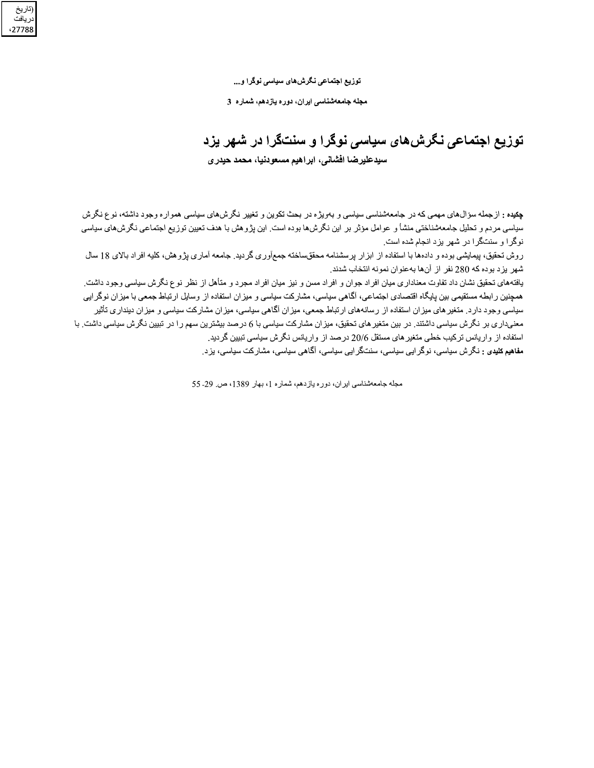توزیع اجتماعی نگرش های سیاسی نوگرا و...

ِتاريخ<br>ريافت 27788

مجله جامعهشناسی ایران، دوره یازدهم، شماره 3

توزیع اجتماعی نگرش های سیاسی نوگرا و سنتگرا در شهر یزد سيدعليرضا افشاني، ابراهيم مسعودنيا، محمد حيدري

**چکده :** از جمله سؤال های مهمی که در جامعهشناسی سیاسی و بهویژه در بحث تکوین و تغییر نگرش های سیاسی همواره وجود داشته، نوع نگرش سیاسی مردم و تحلیل جامعهشناختی منشأ و عوامل مؤثر بر این نگرشها بوده است<sub>.</sub> این پژوهش با هدف تعیین توزیع اجتماعی نگرشهای سیاسی نوگرا و سنتگرا در شهر بزد انجام شده است.

روش تحقیق، پیمایشی بوده و دادهها با استفاده از ابزار پرسشنامه محققساخته جمعأوری گردید. جامعه آماری پژوهش، کلیه افراد بالای 18 سال شهر ً بز د بو ده که 280 نفر ً از آنها به عنو ان نمو نه انتخاب شدند.

یافتههای تحقیق نشان داد تفاوت معناداری میان افراد جوان و افراد مسن و نیز میان افراد مجرد و متأهل از نظر نوع نگرش سیاسی وجود داشت. همچنین رابطه مستقیمی بین پایگاه اقتصادی اجتماعی، آگاهی سیاسی، مشارکت سیاسی و میزان استفاده از وسایل ارتباط جمعی با میزان نوگرایی سیاسی وجود دارد. منغیر های میزان استفاده از رسانههای ارتباط جمعی، میزان آگاهی سیاسی، میزان مشارکت سیاسی و میزان دینداری تأثیر معنیداری بر نگرش سیاسی داشتند. در بین متغیر های تحقیق، میزان مشارکت سیاسی با 6 درصد بیشترین سهم را در تبیین نگرش سیاسی داشت. با استفاده از واریانس ترکیب خطی متغیر های مستقل 20/6 درصد از واریانس نگرش سیاسی تبیین گردید. مفاهیم کلیدی : نگرش سیاسی، نوگر ایی سیاسی، سنتگر ایی سیاسی، آگاهی سیاسی، مشارکت سیاسی، یزد<sub>.</sub>

مجله جامعهشناسي ايران، دوره يازدهم، شماره 1، بهار 1389، ص 29- 55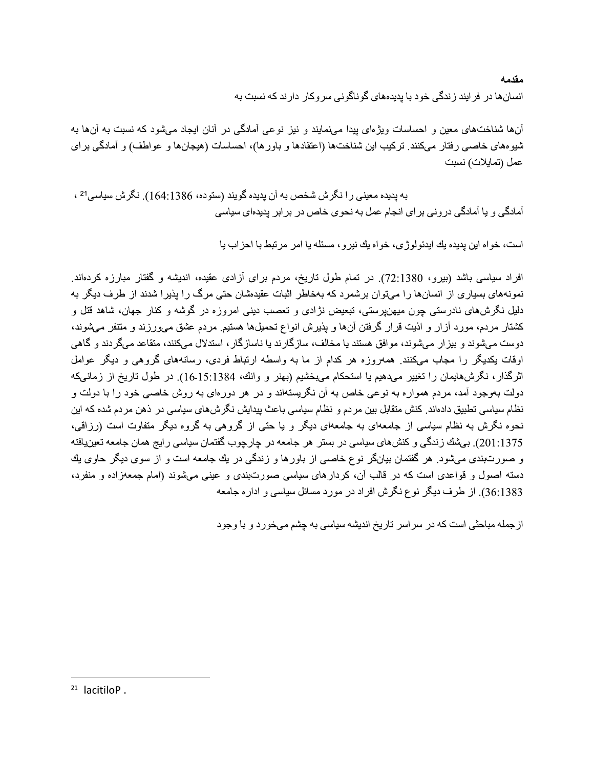مقدمه انسانها در فرایند زندگی خود با پدیدههای گوناگونی سروکار دارند که نسبت به

آنها شناختهای معین و احساسات ویژهای بیدا میهمایند و نیز نوعی آمادگی در آنان ایجاد می شود که نسبت به آنها به شیو.های خاصبی رفتار میکنند. ترکیب این شناختها (اعتقادها و باورها)، احساسات (هیجانها و عواطف) و آمادگی برای عمل (تمايلات) نسبت

به بدیده معینی را نگرش شخص به آن بدیده گویند (ستوده، 1386:164). نگرش سیاسی<sup>21</sup> ، آمادگی و یا آمادگی درونی برای انجام عمل به نحوی خاص در برابر پدیدهای سیاسی

است، خواه این بدیده یك ایدئولوژی، خواه یك نیرو، مسئله یا امر مرتبط با احزاب یا

افراد سیاسی باشد (بیرو، 1380:72). در تمام طول تاریخ، مردم برای آزادی عقیده، اندیشه و گفتار مبارزه کردهاند. نمونههای بسیاری از انسانها را میتوان برشمرد که بهخاطر اثبات عقیدهشان حتی مرگ را پذیرا شدند از طرف دیگر به دلیل نگرشهای نادرستی چون میهنپرستی، تبعیض نژادی و تعصب دینی امروزه در گوشه و کنار جهان، شاهد قتل و کشتار مردم، مورد آزار و اذیت قرار گرفتن آنها و پذیرش انواع تحمیلها هستیم مردم عشق می ورزند و متنفر میشوند، دوست میشوند و بیزار میشوند، موافق هستند یا مخالف، سازگارند یا ناسازگار ، استدلال میکنند، متقاعد میگردند و گاهی اوقات بکدیگر را مجاب میکنند. همهروزه هر کدام از ما به واسطه ارتباط فردی، رسانههای گروهی و دیگر عوامل اثرگذار، نگرشهایمان را نغییر میدهیم یا استحکام میبخشیم (بهنر و وانك، 15:1384). در طول تاریخ از زمانیكه دولت بهوجود آمد، مردم همواره به نوعي خاص به آن نگريستهاند و در هر دورهاي به روش خاصي خود را با دولت و نظام سیاسی تطبیق دادهاند. کنش متقابل بین مردم و نظام سیاسی باعث پیدایش نگرشهای سیاسی در ذهن مردم شده که این نحوه نگرش به نظام سیاسی از جامعهای به جامعهای دیگر و یا حتی از گروهی به گروه دیگر متفاوت است (رزاقی، 201:1375). بیشك زندگی و كنشهای سیاسی در بستر هر جامعه در چارچوب گفتمان سیاسی رایج همان جامعه تعینیافته و صورتبندی میشود. هر گفتمان بیانگر نوع خاصبی از باورها و زندگی در یك جامعه است و از سوی دیگر حاوی یك دسته اصول و قواعدی است که در قالب آن، کردارهای سیاسی صورتبندی و عینی میشوند (امام جمعهزاده و منفرد، 36:1383). از طرف دیگر نوع نگر ش افر اد در مورد مسائل سیاسی و ادار ه جامعه

از جمله مباحثی است که در سراسر تاریخ اندیشه سیاسی به چشم میخورد و با وجود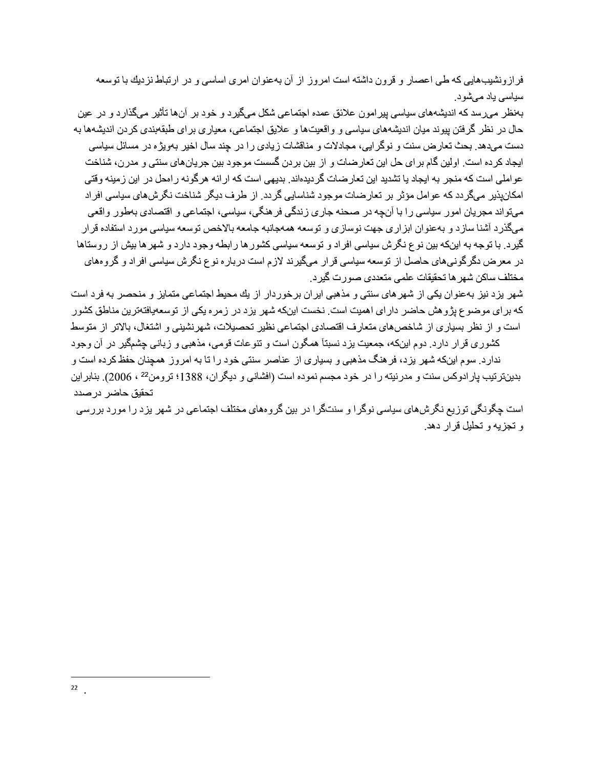فرازونشیبهایی که طی اعصار و قرون داشته است امروز از آن بهعنوان امری اساسی و در ارتباط نزدیك با توسعه سیاسی یاد میشود.

بهنظر ًمے رسد که اندیشههای سیاسے بیر امون علائق عمده اجتماعے شکل مے گیر د و خود بر آنها تأثیر ًمے گذار د و در عين حال در نظر گرفتن بیوند میان اندیشههای سیاسی و واقعیتها و علایق اجتماعی، معیار ی بر ای طبقهبندی کر دن اندیشهها به دست ميدهد. بحث تعارض سنت و نوگر ايي، مجادلات و مناقشات زيادي را در چند سال اخير بهويژه در مسائل سياسي ایجاد کرده است. اولین گام برای حل این تعارضات و از بین بردن گسست موجود بین جریانهای سنتی و مدرن، شناخت عو املی است که منجر به ایجاد یا تشدید این تعار ضات گر دیدهاند. بدیهی است که ار ائه هر گو نه ر امحل در این ز مینه و قتی امکان نیر میگردد که عوامل مؤثر بر تعارضات موجود شناسایی گردد. از طرف دیگر شناخت نگرش های سیاسی افراد مے تو اند مجر بان امور سیاسی ر ا با آنجه در صـحنه جار ی ز ندگی فر هنگی، سیاسی، اجتماعی و اقتصادی بهطور واقعی میگذرد آشنا سازد و بهعنوان ابزاری جهت نوسازی و توسعه همهجانبه جامعه بالاخص توسعه سیاسی مورد استفاده قر ار گیرد. با توجه به اینکه بین نوع نگرش سیاسی افراد و توسعه سیاسی کشور ها رابطه وجود دارد و شهر ها بیش از روستاها در معرض دگرگونیهای حاصل از توسعه سیاسی قرار میگیرند لازم است درباره نوع نگرش سیاسی افراد و گروههای مختلف ساكن شهر ها تحقيقات علمي متعددي صورت گير د.

شهر بز د نیز بهعنوان یکی از شهر های سنتی و مذهبی ایران بر خور دار از یك محیط اجتماعی متمایز و منحصر به فر داست که بر ای موضوع بژ و هش حاضر دار ای اهمیت است. نخست اینکه شهر بز د در ز مر ه یکی از توسعهپافتهتر بن مناطق کشور است و از نظر بسیاری از شاخصهای متعارف اقتصادی اجتماعی نظیر تحصیلات، شهرنشینی و اشتغال، بالاتر از متوسط

کشوری قرار دارد. دوم اینکه، جمعیت بزد نسبتاً همگون است و تنوعات قومی، مذهبی و زبانی چشمگیر در آن وجود ندارد. سوم اینکه شهر بزد، فرهنگ مذهبی و بسیاری از عناصر سنتی خود را تا به امروز همچنان حفظ کرده است و بدینترنیب پار ادوکس سنت و مدرنیته را در خود مجسم نموده است (افشانی و دیگران، 1388؛ ترومن<sup>22</sup> ، 2006). بنابر این تحقيق حاضر در صدد

است چگونگی توزیع نگرش،ای سیاسی نوگرا و سنتگرا در بین گروههای مختلف اجتماعی در شهر یزد را مورد بررسی و تجزيه و تحليل قرار دهد.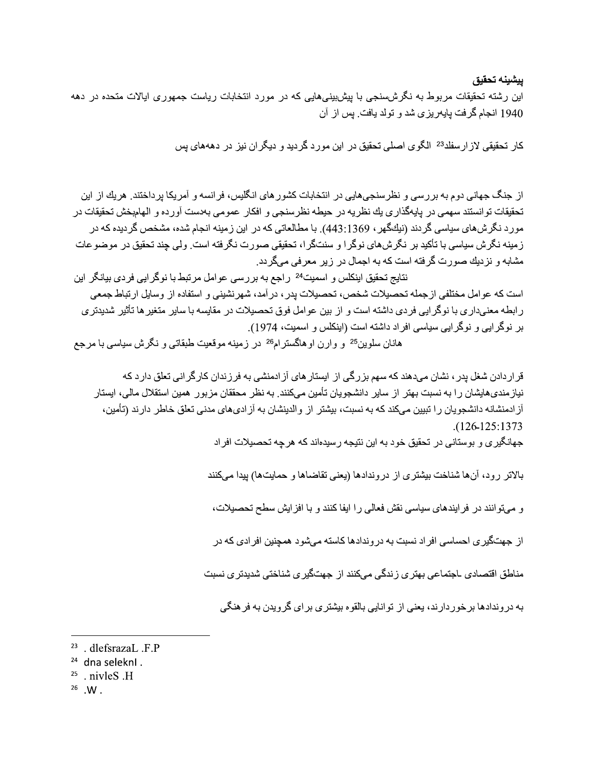ييشينه تحقيق

این رشته تحقیقات مربوط به نگرشسنجی با بیشبینیهایی که در مورد انتخابات ریاست جمهوری ایالات متحده در دهه 1940 انجام گرفت بايەريزى شد و تولد بافت. بس از آن

كار تحقيقي لاز ارسفلد<sup>23</sup> الگوى اصلى تحقيق در اين مورد گرديد و ديگر ان نيز در دهههاى پس

از جنگ جهانی دوم به بررسی و نظرسنجیهایی در انتخابات کشور های انگلیس، فرانسه و آمریکا برداختند. هریك از این تحقيقات توانستند سهمي در يايهگذاري يك نظريه در حيطه نظرسنجي و افكار عمومي بهدست آورده و الهامبخش تحقيقات در مورد نگرش،های سیاسی گردند (نیكگهر ، 443:1369). با مطالعاتی كه در این زمینه انجام شده، مشخص گردیده كه در ز مینه نگرش سیاسی با تأکید بر نگرشهای نوگر ا و سنتگر ا، تحقیقی صورت نگرفته است. ولی چند تحقیق در موضوعات مشابه و نزدیك صورت گرفته است كه به اجمال در زیر معرفی میگردد.

نتايج تحقيق اينكلس و اسميت<sup>24</sup> راجع به بر رسي عوامل مر تبط با نوگر ايي فر دي بيانگر اين است كه عوامل مختلفي از جمله تحصيلات شخص، تحصيلات يدر ، در آمد، شهر نشيني و استفاده از وسايل ارتباط جمعي ر ابطه معنیدار ی با نوگر ایی فر دی داشته است و از بین عوامل فوق تحصیلات در مقایسه با سایر متغیر ها تأثیر شدیدتر ی بر نوگر ایی و نوگر ایی سیاسی افر اد داشته است (اینکلس و اسمیت، 1974). هانان سلوین<sup>25</sup> و وارن اوهاگسترام<sup>26</sup> در زمینه موقعیت طبقاتی و نگرش سیاسی با مرجع

قر ار دادن شغل بدر ، نشان میدهند که سهم بزرگی از ابستار های آز ادمنشی به فر زندان کارگر انی تعلق دار د که نیاز مندیهایشان را به نسبت بهتر از سایر دانشجویان تأمین میکنند. به نظر محققان مزبور همین استقلال مالی، ایستار آز ادمنشانه دانشجویان را تبیین میکند که به نسبت، بیشتر از والدینشان به آز ادیهای مدنی تعلق خاطر دارند (تأمین،  $(126-125:1373)$ 

جهانگیر ی و بو ستانی در تحقیق خو د به این نتیجه ر سیدهاند که هر چه تحصیلات افر اد

بالاتر رود، آنها شناخت بيشتري از دروندادها (يعني تقاضاها و حمايتها) بيدا ميكنند

و مهتوانند در فرایندهای سیاسی نقش فعالی را ایفا کنند و با افزایش سطح تحصیلات،

از جهتگیر ی احساسی افر اد نسبت به در و ندادها کاسته میشود همچنین افر ادی که در

مناطق اقتصادي ـاجتماعي بهتري زندگي ميكنند از جهتگيري شناختي شديدتري نسبت

به در وندادها بر خور دارند، بعنی از توانایی بالقوه بیشتری بر ای گرویدن به فر هنگی

<sup>&</sup>lt;sup>23</sup> . dlefsrazaL .F.P

<sup>&</sup>lt;sup>24</sup> dna seleknl.

 $25$  nivles  $H$ 

 $26$  W.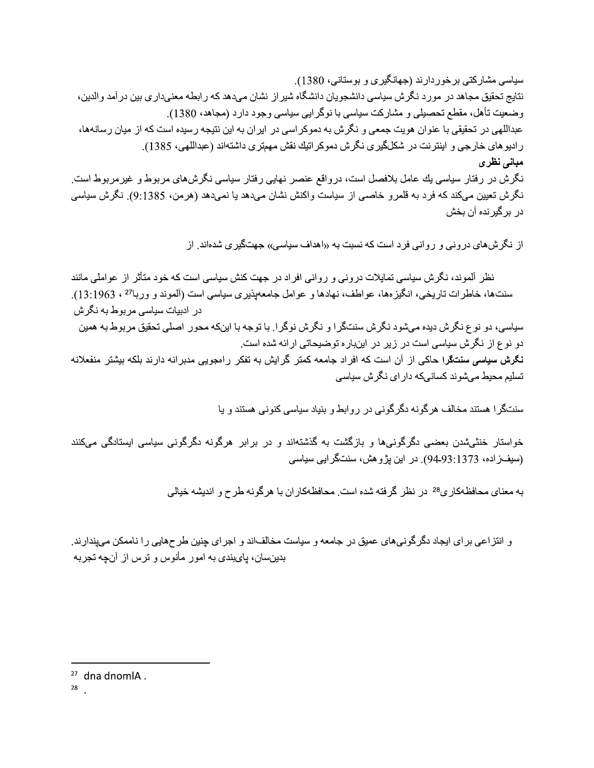سیاسی مشارکتی برخوردارند (جهانگیری و بوستانی، 1380). نتايج تحقيق مجاهد در مورد نگرش سياسي دانشجويان دانشگاه شير از نشان ميدهد كه رابطه معنىداري بين در آمد والدين، وضعیت تأهل، مقطع تحصیلی و مشارکت سیاسی با نوگرایی سیاسی وجود دارد (مجاهد، 1380). عبداللهی در تحقیقی با عنوان هویت جمعی و نگر ش به دموکر اسی در ایر ان به این نتیجه ر سیده است که از میان ر سانهها، ر اديو هاي خار جي و اينتر نت در شكلگير ي نگر ش دموكر اتيك نقش مهمتر ي داشتهاند (عبداللهي، 1385). مبانی نظری نگرش در رفتار سیاسی یك عامل بلافصل است، درواقع عنصر نهایی رفتار سیاسی نگرشهای مربوط و غیرمربوط است. نگرش نعیین میکند که فرد به قلمرو خاصمی از سیاست واکنش نشان میدهد یا نمیدهد (هرمن، 9:1385). نگرش سیاسی در بر گیر نده آن بخش

از نگرشهای درونی و روانی فرد است که نسبت به «اهداف سیاسی» جهتگیری شدهاند. از

نظر ِ آلموند، نگرش سیاسی تمایلات درونی و روانی افراد در جهت کنش سیاسی است که خود متأثر از عواملی مانند سنتها، خاطرات تاریخی، انگیزهها، عواطف، نهادها و عوامل جامعهیذیری سیاسی است (آلموند و وربا<sup>27</sup> ، 13:1963). در ادبیات سیاسی مر بو ط به نگر ش سیاسی، دو نوع نگرش دیده میشود نگرش سنتگرا و نگرش نوگرا. با توجه با اینکه محور اصلی تحقیق مربوط به همین دو نوع از نگرش سیاسی است در زیر در اینباره توضیحاتی ارائه شده است. نگرش سیاسی سنتگرا حاکی از آن است که افراد جامعه کمتر گرایش به تفکر رامجویی مدبرانه دارند بلکه بیشتر منفعلانه تسلیم محیط مے شو ند کسانے که دار ای نگر ش سیاسے

سنتگر ا هستند مخالف هر گونه دگر گونی در روابط و بنیاد سیاسی کنونی هستند و یا

خواستار خنثیشدن بعضبی دگرگونبیها و بازگشت به گذشتهاند و در برابر هرگونه دگرگونبی سیاسی ایستادگی میکنند (سيفزاده، 94.93:1373). در اين پژوهش، سنتگرايي سياسي

به معنای محافظهکار ی<sup>28</sup> در نظر گرفته شده است<sub>.</sub> محافظهکار ان با هر گونه طرح و اندیشه خیالی

و انتزاعی برای ایجاد دگرگونیهای عمیق در جامعه و سیاست مخالفاند و اجرای چنین طرحهایی را ناممکن میپندارند. بدینسان، پایبندی به امور مأنوس و ترس از آنچه تجربه

 $27$  dna dnomlA.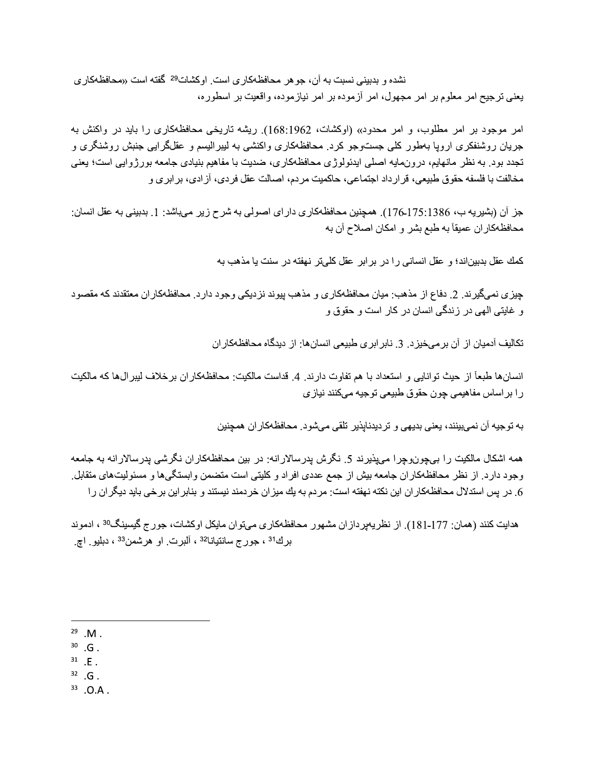نشده و بدبینی نسبت به آن، جو هر محافظهکاری است<sub>.</sub> اوکشات<sup>29</sup> گفته است «محافظهکاری يعني ترجيح امر معلوم بر امر مجهول، امر آزموده بر امر نياز موده، واقعيت بر اسطوره،

امر موجود بر امر مطلوب، و امر محدود» (اوكشات، 168:1962). ريشه تاريخي محافظهكاري را بايد در واكنش به جریان روشنفکری اروپا بهطور کلبی جستوجو کرد. محافظهکاری واکنشی به لیبرالیسم و عقلگرایی جنبش روشنگری و تجدد بود. به نظر مانهایم، درونمایه اصلی ایدئولوژی محافظهکاری، ضدیت با مفاهیم بنیادی جامعه بورژوایی است؛ یعنی مخالفت با فلسفه حقوق طبيعي، قرارداد اجتماعي، حاكميت مردم، اصـالت عقل فردي، آز ادي، بر ابر ي و

جز آن (بشيريه ب، 175:1386). همچنين محافظهكاري دار اي اصولي به شرح زير ميباشد: 1. بدبيني به عقل انسان: محافظهكاران عميقاً به طبع بشر و امكان اصلاح أن به

كمك عقل بدبيناند؛ و عقل انساني را در برابر عقل كليتر نهفته در سنت يا مذهب به

جیزی نمی،گیر ند. 2. دفاع از مذهب: میان محافظهکاری و مذهب پیوند نزدیکی وجود دارد. محافظهکار ان معتقدند که مقصود و غایتی الهی در زندگی انسان در کار است و حقوق و

تکالیف آدمیان از آن بر میخیزد. 3. نابر ابری طبیعی انسانها: از دیدگاه محافظهکاران

انسانها طبعاً از حيث توانايي و استعداد با هم تفاوت دارند. 4. قداست مالكيت: محافظهكار ان برخلاف ليبر الαها كه مالكيت را براساس مفاهيمي چون حقوق طبيعي توجيه ميكنند نيازي

به توجیه آن نمیبینند، یعنی بدیهی و تردیدناپذیر تلقی میشود. محافظهکار ان همچنین

همه اشکال مالکیت را بیچون,وچرا میپذیرند 5. نگرش پدرسالارانه: در بین محافظهکاران نگرشی یدرسالارانه به جامعه وجود دارد. از نظر محافظهکاران جامعه بیش از جمع عددی افراد و کلیتی است متضمن وابستگیها و مسئولیتهای متقابل. 6. در پس استدلال محافظهکار ان این نکته نهفته است: مردم به یك میز ان خردمند نیستند و بنابر این بر خی باید دیگر ان را

هدایت کنند (همان: 177-181). از نظریهیردازان مشهور محافظهکاری میتوان مایکل اوکشات، جورج گیسینگ<sup>30</sup> ، ادموند برك<sup>31</sup> ، جورج سانتيانا<sup>32</sup> ، آلبرت ٍ او هرشمن<sup>33</sup> ، دبليو ٍ اچ

- $30$  . G .
- $31$  .E.
- $32$  G.
- $33$  .O.A.

 $29$  M.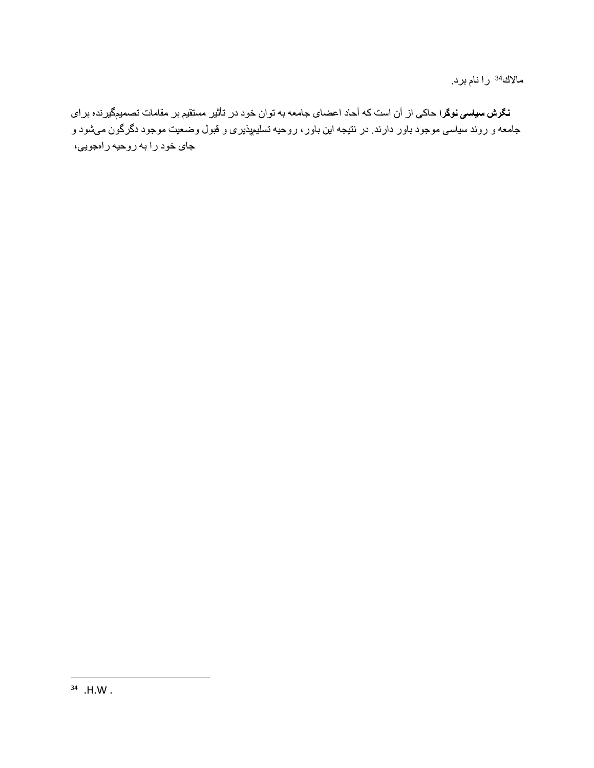مالاك<sup>34</sup> را نام برد.

**نگرش سیاسی نوگر**ا حاکی از آن است که آحاد اعضای جامعه به توان خود در تأثیر مستقیم بر مقامات تصمیمگیرنده بر ای جامعه و روند سیاسی موجود باور دارند. در نتیجه این باور ، روحیه تسلیمپذیری و قبول وضعیت موجود دگرگون میشود و جای خود را به روحیه رامجویی،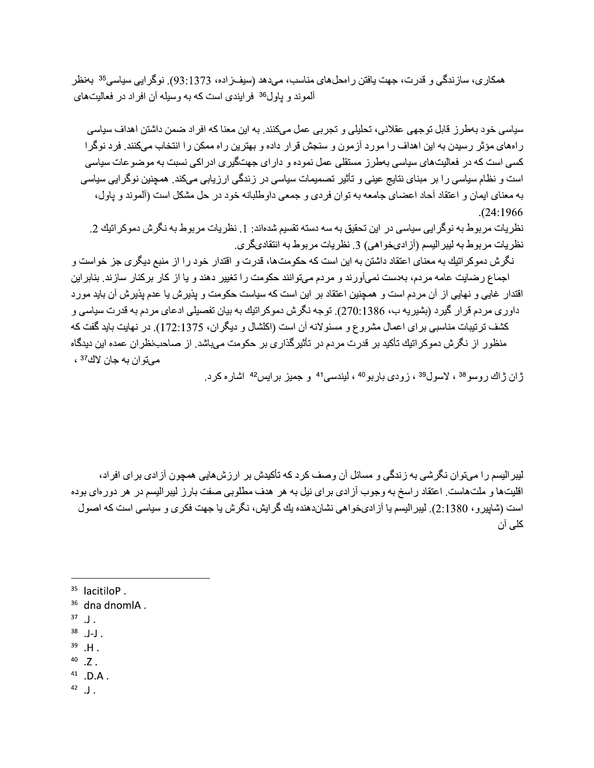همکاري، سازندگي و قدرت، جهت يافتن رامحلهاي مناسب، ميدهد (سيفـزاده، 93:1373). نوگرايي سياسي<sup>35</sup> بـمنظر آلموند و پاول<sup>36</sup> فر ایندی است که به وسیله آن افراد در فعالیتهای

سیاسی خو د بهطر ز قابل توجهی عقلانی، تحلیلی و تجر بی عمل میکنند. به این معنا که افر اد ضمن داشتن اهداف سیاسی ر امهای مؤثر رسیدن به این اهداف را مورد آزمون و سنجش قرار داده و بهترین راه ممکن را انتخاب میکنند. فرد نوگرا کسی است که در فعالیتهای سیاسی بهطرز مستقلی عمل نموده و دارای جهتگیری ادراکی نسبت به موضوعات سیاسی است و نظام سیاسی را بر مبنای نتایج عینی و تأثیر تصمیمات سیاسی در زندگی ارزیابی میکند. همچنین نوگرایی سیاسی به معنای ایمان و اعتقاد آحاد اعضای جامعه به توان فردی و جمعی داوطلبانه خود در حل مشکل است (آلموند و پاول،  $. (24:1966)$ 

نظریات مربوط به نوگر ایی سیاسی در این تحقیق به سه دسته تقسیم شدهاند: 1. نظر یات مربوط به نگر ش دموکر اتیك 2. نظريات مربوط به ليبر اليسم (آز ادىخواهى) 3. نظريات مربوط به انتقادىگرى.

نگرش دموکراتیك به معناى اعتقاد داشتن به این است كه حكومتها، قدرت و اقتدار خود را از منبع دیگرى جز خواست و اجماع رضایت عامه مردم، بهدست نمیآورند و مردم میتوانند حکومت را تغییر دهند و یا از کار برکنار سازند. بنابراین اقتدار ِ غایی و نهایی از آن مر دم است و همچنین اعتقاد بر این است که سیاست حکومت و بذیر ش یا عدم بذیر ش آن باید مو ر د داور ی مر دم قر ار گیر د (بشیر په ب، 1386.270). توجه نگر ش دموکر اتیك به بیان تفصیلی ادعای مر دم به قدر ت سیاسی و كشف ترتيبات مناسبي براي اعمال مشروع و مسئولانه آن است (اكلشال و ديگران، 172:1375). در نهايت بايد گفت كه منظور از نگرش دموکراتیك تأكید بر قدرت مردم در تأثیرگذاری بر حكومت میباشد. از صاحب نظران عمده این دیدگاه ميتوان به جان لاك<sup>37</sup> ،

ژان ژاك روسو<sup>38</sup> ، لاسول<sup>39</sup> ، زودي باربو<sup>40</sup> ، ليندسي<sup>41</sup> و جميز برايس<sup>42</sup> اشاره كرد.

لیبر الیسم را میتوان نگرشی به زندگی و مسائل آن وصف کرد که تأکیدش بر ارزش،هایی همچون آزادی برای افراد، اقلیتها و ملتهاست. اعتقاد راسخ به وجوب آزادی برای نیل به هر هدف مطلوبی صفت بارز لیبرالیسم در هر دورمای بوده است (شابیرو، 2:1380). لیبر الیسم یا آز ادیخو اهی نشاندهنده یك گر ایش، نگرش یا جهت فكری و سیاسی است كه اصول كلے آن

- $38$  .J-J.
- $39$  .H.
- $40$  .Z.

 $41$  .D.A.

 $^{42}$  J.

<sup>&</sup>lt;sup>35</sup> lacitiloP.

<sup>&</sup>lt;sup>36</sup> dna dnomlA.

 $37$   $\overline{\mathsf{J}}$ .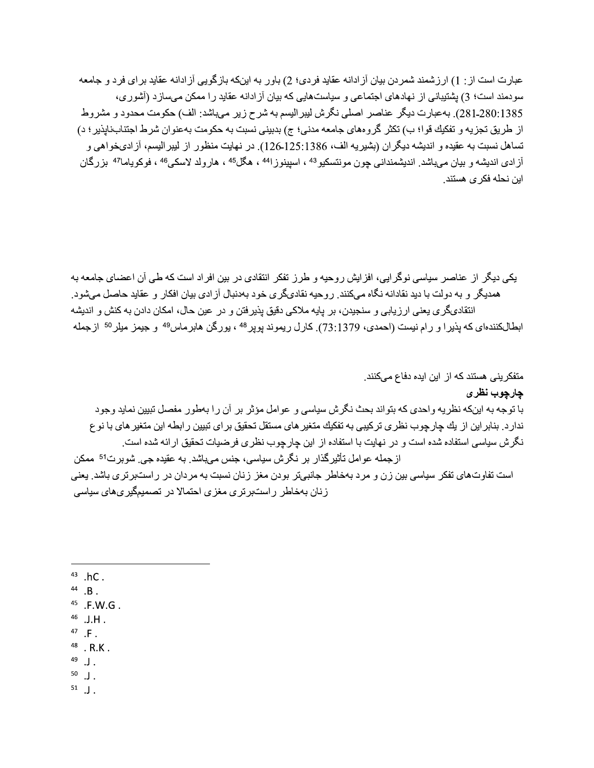عبارت است از : 1) ارزشمند شمردن بيان آزادانه عقايد فردي؛ 2) باور به اينكه بازگويي آزادانه عقايد براي فرد و جامعه سودمند است؛ 3) بشتیبانی از نهادهای اجتماعی و سیاستهایی که بیان آز ادانه عقاید ر ا ممکن میساز د (آشور ی، 280:1385). بهعبارت ديگر عناصر اصلي نگرش ليبر اليسم به شرح زير ميباشد: الف) حكومت محدود و مشروط از طريق تجزيه و تفكيك قوا؛ ب) تكثر گر و مهاي جامعه مدني؛ ج) بدبيني نسبت به حكومت بهعنوان شر ط اجتناب نايذير ؛ د) تساهل نسبت به عقيده و انديشه ديگر ان (بشير يه الف، 125:125،126). در نهايت منظور از ليبر اليسم، آز ادىخواهي و آزادي انديشه و بيان ميباشد. انديشمنداني چون مونتسكيو<sup>43</sup> ، اسيبنوز ا<sup>44</sup> ، هگل<sup>45</sup> ، هارولد لاسكي<sup>46</sup> ، فوكوياما<sup>47</sup> بزرگان ابن نحله فکر *ی* هستند.

یکی دیگر از عناصر سیاسی نوگر ایی، افز ایش روحیه و طرز تفکر انتقادی در بین افراد است که طی آن اعضای جامعه به همدیگر و به دولت با دید نقادانه نگاه مے کنند. رو حیه نقادیگر ی خود بهدنبال آز ادی بیان افکار و عقاید حاصل مے شود انتقادىگرى يعنى ارزيابى و سنجيدن، بر پايه ملاكى دقيق پذيرفتن و در عين حال، امكان دادن به كنش و انديشه ابطالکنندهای که پذیرا و رام نیست (احمدی، 73:1379). کارل ریموند پوپر<sup>48</sup> ، پورگن هابرماس<sup>49</sup> و جیمز میلر<sup>50</sup> ازجمله

متفکرینی هستند که از این ایده دفاع میکنند. چارچوب نظر ی با توجه به اینکه نظریه واحدی که بتواند بحث نگرش سیاسی و عوامل مؤثر بر آن را بهطور مفصل تبیین نماید وجود ندارد. بنابر این از یك چارچوب نظری تركیبی به تفكیك متغیر های مستقل تحقیق بر ای تبیین ر ابطه این متغیر های با نو ع نگرش سیاسی استفاده شده است و در نهایت با استفاده از این چارچوب نظری فرضیات تحقیق ارائه شده است. از جمله عوامل تأثير گذار بر نگرش سياسي، جنس مي.باشد. به عقيده جي<sub>.</sub> شوبر ت<sup>51</sup> ممكن است تفاوتهای تفکر سیاسی بین زن و مرد بهخاطر جانبیتر بودن مغز زنان نسبت به مردان در راستبرتری باشد. یعنی ز نان بهخاطر ر استبر تر ی مغز ی احتمالا در تصمیمگیر یهای سیاسی

- $43$  .hC.
- $44$  .B.
- $45$  .F.W.G.
- $46$  .J.H.
- $47$  .F.
- $48$   $\overline{\phantom{1}}$  R.K.
- $^{49}$  . J.

 $50$   $\overline{\phantom{0}}$ .

 $51$   $\overline{\phantom{1}}$ .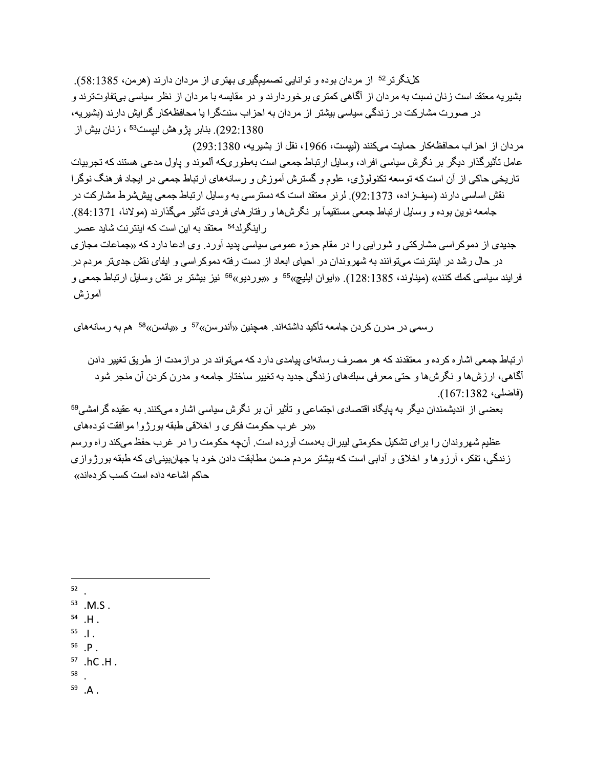كلنگرتر<sup>52</sup> از مردان بوده و توانايي تصميمگيري بهتري از مردان دارند (هرمن، 58:1385). بشیر یه معتقد است زنان نسبت به مردان از آگاهی کمتر ی بر خور دارند و در مقایسه با مردان از نظر سیاسی بی قاوتترند و در صورت مشارکت در زندگی سیاسی بیشتر از مردان به احزاب سنتگرا یا محافظهکار گرایش دارند (بشیریه، (292:1380). بنابر پڑ و هش لیپست<sup>53</sup> ، ز نان بیش از

مر دان از اجز اب محافظهكار حمايت ميكنند (ليبست، 1966، نقل از بشير به، 1380:293) عامل تأثیر گذار دیگر بر نگر ش سیاسی افر اد، و سایل ار تباط جمعی است بهطور یکه آلموند و یاول مدعی هستند که تجر بیات تاریخی حاکی از آن است که توسعه تکنولوژی، علوم و گسترش آموزش و رسانههای ارتباط جمعی در ایجاد فرهنگ نوگرا نقش اساسی دارند (سیفـزاده، 92:1373). لرنر معتقد است که دسترسی به وسایل ارتباط جمعی بیششرط مشارکت در جامعه نوین بوده و وسایل ارتباط جمعی مستقیمآ بر نگر شها و رفتار های فر دی تأثیر ًمیگذار ند (مولانا، 84:1371). ر اینگو لد<sup>54</sup> معتقد به این است که اینتر نت شاید عصر

جدیدی از دموکر اسی مشارکتی و شور ایی را در مقام حوزه عمومی سیاسی پدید آورد. وی ادعا دارد که «جماعات مجازی در حال رشد در اینترنت میتوانند به شهروندان در احیای ابعاد از دست رفته دموکراسی و ایفای نقش جدیتر مردم در فرايند سياسي كمك كنند» (ميناوند، 128:1385). «ايوان ايليچ»<sup>55</sup> و «بورديو»<sup>56</sup> نيز بيشتر بر نقش وسايل ارتباط جمعي و آموز ش

رسمی در مدرن کردن جامعه تأکید داشتهاند. همچنین «آندرسن»<sup>57</sup> و «پانسن»<sup>58</sup> هم به رسانههای

ارتباط جمعی اشاره کرده و معتقدند که هر مصرف رسانهای پیامدی دارد که میتواند در در ازمدت از طریق تغییر دادن آگاهي، ارزشها و نگرشها و حتي معرفي سبكهاي زندگي جديد به تغيير ساختار جامعه و مدرن كردن آن منجر شود (فاضلي، 167:1382).

بعضبي از انديشمندان ديگر به پايگاه اقتصادي اجتماعي و تأثير آن بر نگرش سياسي اشار ه ميكنند. به عقيده گر امشي<sup>59</sup> «در غرب حکومت فکری و اخلاقی طبقه بورژوا موافقت تودههای

عظیم شهروندان را برای تشکیل حکومتی لیبرال بهدست آورده است. آنچه حکومت را در غرب حفظ میکند راه ورسم زندگی، تفکر ، آرزوها و اخلاق و آدابی است که بیشتر مردم ضمن مطابقت دادن خود با جهانبینیای که طبقه بورژوازی حاكم اشاعه داده است كسب كردهاند»

- $52$
- $53$  M.S.
- $54$  .H.
- $^{55}$  .  $\vert$  .
- $56$   $\mathsf{P}$ .
- $57$  .hC .H .
- 58
- $59$   $\cdot$  A  $\cdot$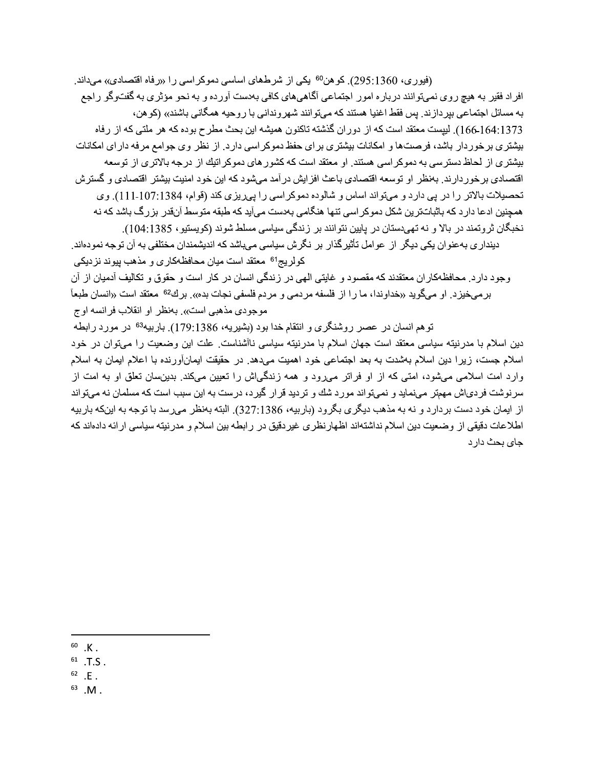(فیوری، 295:1360). کو هن<sup>60</sup> یکی از شرطهای اساسی دموکر اسی را «رفاه اقتصادی» میداند. افر اد فقیر به هیچ روی نمیتوانند درباره امور اجتماعی آگاهیهای کافی بهدست آورده و به نحو مؤثری به گفتوگو راجع به مسائل اجتماعي بپردازند<sub>.</sub> پس فقط اغنيا هستند كه ميتوانند شهرونداني با روحيه همگاني باشند» (كو هن، 166-164:1373). لیپست معتقد است که از دور ان گذشته تاکنون همیشه این بحث مطرح بوده که هر ملتی که از رفاه بیشتری برخوردار باشد، فرصتها و امکانات بیشتری برای حفظ دموکر اسی دارد. از نظر وی جوامع مرفه دارای امکانات بیشتری از لحاظ دسترسی به دموکر اسی هستند. او معتقد است که کشور های دموکر اتیك از درجه بالاتری از توسعه اقتصادی بر خور دار ند. بهنظر او توسعه اقتصادی باعث افز ایش در آمد میشود که این خود امنیت بیشتر اقتصادی و گستر ش تحصیلات بالاتر را در پی دارد و میتواند اساس و شالوده دموکر اسی را پیریزی کند (قوام، 1384:107:1384). وی همچنین ادعا دار د که باثباتتر بن شکل دمو کر اسی تنها هنگامی بهدست می آید که طبقه متوسط آنقدر بز ر گ باشد که نه نخبگان ثروتمند در بالا و نه تهیدستان در پایین نتوانند بر زندگی سیاسی مسلط شوند (کویستیو ، 1385:104).

دینداری بهعنوان یکی دیگر از عوامل تأثیرگذار بر نگرش سیاسی میباشد که اندیشمندان مختلفی به آن توجه نمودهاند. كولريج<sup>61</sup> معتقد است ميان محافظهكاري و مذهب پيوند نزديكي

وجود دار د. محافظهکار ان معتقدند که مقصود و غایتی الهی در زندگی انسان در کار است و حقوق و تکالیف آدمیان از آن بر مے خبز د. او مے گو بد «خداو ندا، ما ر ا از فلسفه مر دمے و مر دم فلسفے نجات بده». بر ك<sup>62</sup> معتقد است «انسان طبعآ موجودي مذهبي است». بـمنظر او انقلاب فر انسه اوج

توهم انسان در عصر روشنگری و انتقام خدا بود (بشیریه، 179:1386). باربیه<sup>63</sup> در مورد رابطه

دین اسلام با مدرنیته سیاسی معتقد است جهان اسلام با مدرنیته سیاسی ناآشناست. علت این وضعیت را میتوان در خود اسلام جست، زیرا دین اسلام بهشدت به بعد اجتماعی خود اهمیت میدهد. در حقیقت ایمانآورنده با اعلام ایمان به اسلام وارد امت اسلامی میشود، امتی که از او فراتر میرود و همه زندگیاش را تعیین میکند. بدینسان تعلق او به امت از سرنوشت فردیاش مهمتر مینماید و نمیتواند مورد شك و تردید قرار گیرد، درست به این سبب است كه مسلمان نه میتواند از ایمان خود دست بردارد و نه به مذهب دیگر ی بگرود (باربیه، 327:1386). البته بهنظر میرسد با توجه به اینکه باربیه اطلاعات دقیقی از وضعیت دین اسلام نداشتهاند اظهارنظری غیردقیق در رابطه بین اسلام و مدرنیته سیاسی ارائه دادهاند كه جای بحث دار د

 $60 K$ .

 $^{61}$  .T.S.

 $62$   $E$ .

 $^{63}$  .M .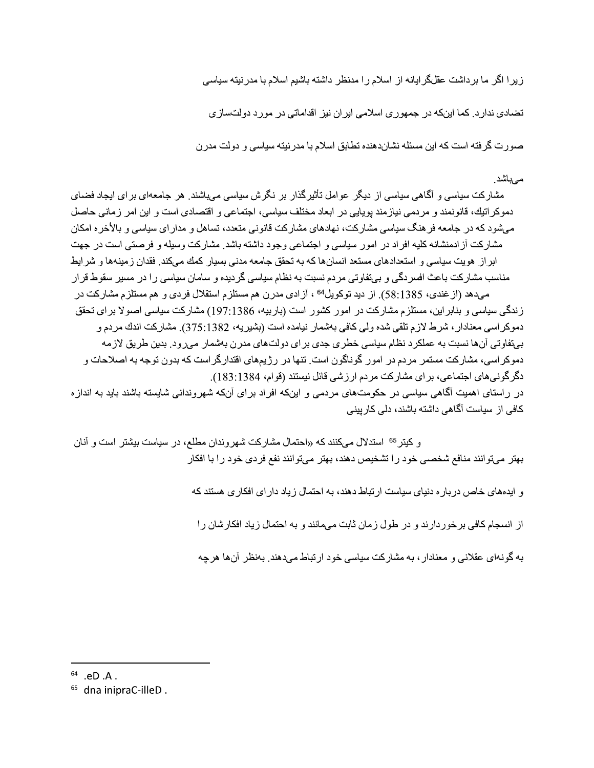زیر ا اگر ما برداشت عقلگرایانه از اسلام را مدنظر داشته باشیم اسلام با مدرنیته سیاسی

تضادی ندارد. کما اینکه در جمهوری اسلامی ایران نیز اقداماتی در مورد دولتسازی

صورت گرفته است که این مسئله نشاندهنده تطابق اسلام با مدر نیته سیاسی و دولت مدر ن

#### مے باشد۔

مشارکت سیاسی و آگاهی سیاسی از دیگر عوامل تأثیرگذار بر نگرش سیاسی میباشند. هر جامعهای بر ای ایجاد فضای دموكراتيك، قانونمند و مردمي نيازمند بويايي در ابعاد مختلف سياسي، اجتماعي و اقتصادي است و اين امر زماني حاصل می شود که در جامعه فر هنگ سیاسی مشارکت، نهادهای مشارکت قانونی متعدد، تساهل و مدار ای سیاسی و بالأخر ه امکان مشاركت آز ادمنشانه كليه افر اد در امور سياسي و اجتماعي وجود داشته باشد. مشاركت وسيله و فرصتي است در جهت ابراز هويت سياسي و استعدادهاي مستعد انسانها كه به تحقق جامعه مدنى بسيار كمك مىكند. فقدان زمينهها و شرايط مناسب مشارکت باعث افسر دگی و بیتفاوتی مردم نسبت به نظام سیاسی گردیده و سامان سیاسی را در مسیر سقوط قرار مے،دهد (از غندی، 1385.1385). از دید توکو پل<sup>64</sup> ، آز ادی مدر ن هم مستلز م استقلال فر دی و هم مستلز م مشار کت در ز ندگی سیاسی و بنابر این، مستلز م مشار کت در امور کشور است (بار بیه، 197:1386) مشار کت سیاسی اصولا بر ای تحقق دموكر اسي معنادار ، شرط لازم تلقي شده ولي كافي بهشمار نيامده است (بشيريه، 375:1382). مشاركت اندك مردم و بیتفاوتی آنها نسبت به عملکرد نظام سیاسی خطری جدی برای دولتهای مدرن بهشمار میرود. بدین طریق لازمه دموکر اسی، مشارکت مستمر ِ مردم در امور گوناگون است. تنها در رژیمهای اقتدار گر است که بدون توجه به اصلاحات و دگر گونیهای اجتماعی، بر ای مشارکت مردم ارزشی قائل نیستند (قوام، 1381:83). در راستای اهمیت آگاهی سیاسی در حکومتهای مردمی و اینکه افراد برای آنکه شهروندانی شایسته باشند باید به اندازه کافی از سیاست آگاهی داشته باشند، دلی کار بینی

و کیتر<sup>65</sup> استدلال میکنند که «احتمال مشارکت شهروندان مطلع، در سیاست بیشتر است و آنان بهتر میتوانند منافع شخصی خود را تشخیص دهند، بهتر میتوانند نفع فردی خود را با افکار

و ایدههای خاص در بار ه دنیای سیاست ار تباط دهند، به احتمال ز یاد دار ای افکار ی هستند که

از انسجام کافی بر خو ر دار ند و در طول ز مان ثابت می مانند و به احتمال ز یاد افکار شان ر ا

به گونهای عقلانی و معنادار ، به مشارکت سیاسی خود ارتباط میدهند. بهنظر آنها هرچه

 $64$  .eD  $.A$ .

<sup>&</sup>lt;sup>65</sup> dna inipraC-illeD.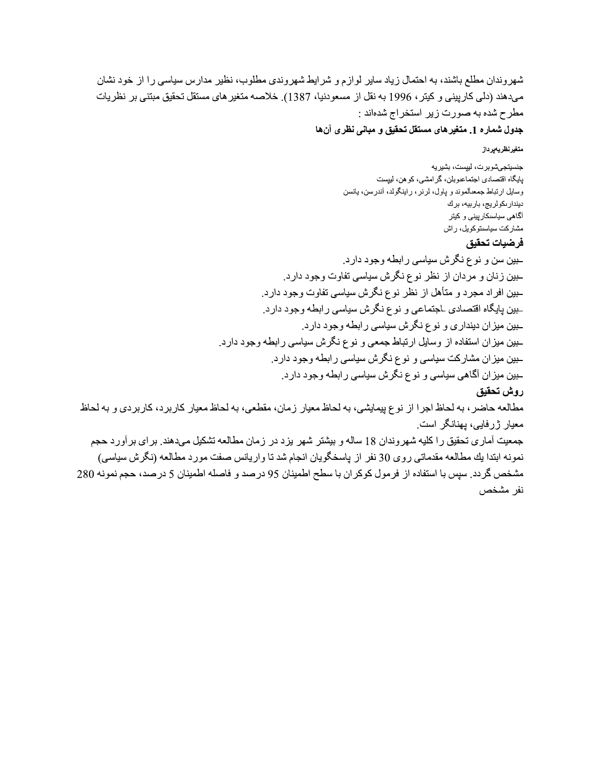شهروندان مطلع باشند، به احتمال زیاد سایر لوازم و شرایط شهروندی مطلوب، نظیر مدارس سیاسی را از خود نشان ميدهند (دلمي كارييني و كيتر ، 1996 به نقل از مسعودنيا، 1387). خلاصه متغير هاي مستقل تحقيق مبتني بر نظريات مطرح شده به صورت زیر استخراج شدهاند :

جدول شماره 1. متغير هاي مستقل تحقيق و مباني نظري آن ها

متغيرنظريهيرداز

جنسیتجے شو بر ت، لیپست، بشیر یه پایگاه اقتصادی اجتماعىوبلن، گرامشى، كوهن، ليپست وسایل ارتباط جمعالموند و پاول، لرنر ، راینگولد، أندرسن، یانسن ديندارىكولريج، باربيه، برك آگاهی سیاسدکارپینی و کیتر مشار کت سیاستو کویل، راش

# فرضيات تحقيق

بين سن و نوع نگرش سياسي رابطه وجود دارد. ـبین زنان و مردان از نظر نوع نگرش سیاسی تفاوت وجود دارد. ـبین افراد مجرد و متأهل از نظر نوع نگرش سیاسی تفاوت وجود دارد. بين پايگاه اقتصادي لجتماعي و نوع نگرش سياسي رابطه وجود دارد. ـبین میزان دینداری و نوع نگرش سیاسی رابطه وجود دارد. ـبین میزان استفاده از وسایل ارتباط جمعی و نوع نگرش سیاسی رابطه وجود دارد. بین میزان مشارکت سیاسی و نوع نگرش سیاسی رابطه وجود دارد. ـبین میز ان آگاهی سیاسی و نوع نگرش سیاسی ر ابطه وجود دارد. روش تحقيق مطالعه حاضر ، به لحاظ اجرا از نوع پیمایشی، به لحاظ معیار زمان، مقطعی، به لحاظ معیار کاربرد، کاربردی و به لحاظ معیار ژرفایی، پهنانگر است. جمعیت آماری تحقیق را کلیه شهروندان 18 ساله و بیشتر شهر بزد در زمان مطالعه تشکیل میدهند. برای بر آورد حجم نمونه ابتدا يك مطالعه مقدماتي روى 30 نفر از پاسخگويان انجام شد تا واريانس صفت مورد مطالعه (نگرش سياسي) مشخص گردد. سپس با استفاده از فرمول کوکران با سطح اطمینان 95 درصد و فاصله اطمینان 5 درصد، حجم نمونه 280 نفر مشخص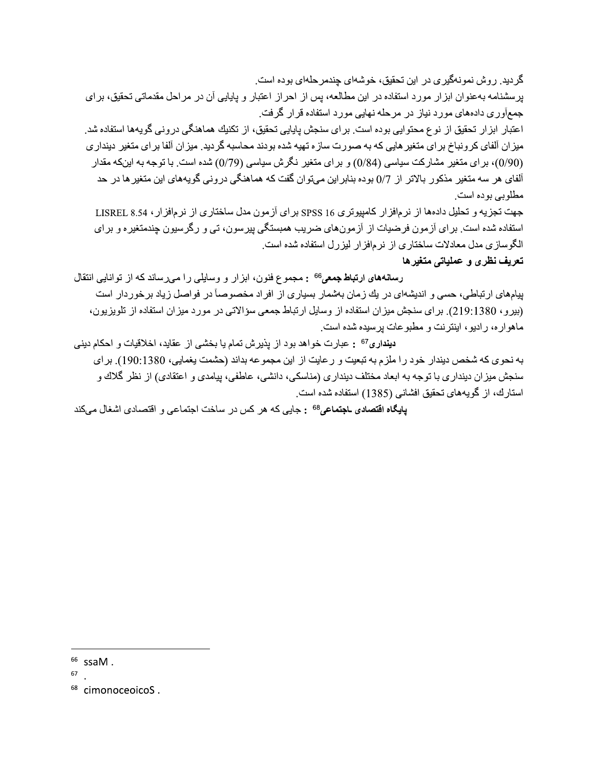گر دید ِ ر و ش نمو نهگیر ی در ِ این تحقیق، خوشهای چندمر حلهای بوده است ِ

بر سشنامه به عنوان ابز ار مورد استفاده در این مطالعه، پس از احراز اعتبار و پایایی آن در مراحل مقدماتی تحقیق، برای جمعآور ی دادههای مورد نیاز در مرحله نهایی مورد استفاده قر ار گرفت.

اعتبار ابز ار تحقیق از نوع محتوایی بوده است. بر ای سنجش پایایی تحقیق، از تکنیك هماهنگی در ونی گویهها استفاده شد میز ان آلفای کرونباخ بر ای منغیر هایی که به صورت ساز ه تهیه شده بودند محاسبه گردید. میز ان آلفا بر ای منغیر دیندار ی (0/90)، بر ای متغیر مشارکت سیاسی (0/84) و بر ای متغیر نگرش سیاسی (0/79) شده است. با توجه به اینکه مقدار آلفای هر سه متغیر مذکور بالاتر از 0/7 بوده بنابر این مےتوان گفت که هماهنگی در ونی گویههای این متغیر ها در حد مطلوبے ہو دہ است۔

جهت تجزيه و تحليل دادهها از نرمافزار كامييوتري 16 SPSS براي آزمون مدل ساختاري از نرمافزار، LISREL 8.54 استفاده شده است. برای آزمون فرضیات از آزمونهای ضریب همبستگی پیرسون، تی و رگرسیون چندمتغیره و برای الگوسازی مدل معادلات ساختاری از نرمافزار لیزرل استفاده شده است.

## تعريف نظرى و عملياتي متغيرها

رسانههای ارتباط جمعی<sup>66</sup> : مجموع فنون، ابزار و وسایلی را مهرساند که از توانایی انتقال پیامهای ارتباطی، حسی و اندیشهای در یك زمان بهشمار بسیاری از افراد مخصوصاً در فواصل زیاد بر خور دار است (بیرو، 1380:1991). برای سنجش میزان استفاده از وسایل ارتباط جمعی سؤالاتی در مورد میزان استفاده از تلویزیون، ماهواره، رادیو، اینترنت و مطبوعات پرسیده شده است.

دينداري<sup>67</sup> : عبارت خواهد بود از يذيرش تمام يا بخشي از عقايد، اخلاقيات و احكام ديني به نحوي كه شخص ديندار خود را ملزم به تبعيت و رعايت از اين مجموعه بداند (حشمت يغمايي، 1380:190). براي سنجش میز ان دیندار ی با توجه به ابعاد مختلف دیندار ی (مناسکی، دانشی، عاطفی، پیامدی و اعتقادی) از نظر گلاك و استارك، از گويههاى تحقيق افشانى (1385) استفاده شده است.

پایگاه اقتصادی ـاجتماعی<sup>68</sup> : جایبی که هر کس در ساخت اجتماعی و اقتصادی اشغال میکند

 $66$  ssaM.

<sup>67</sup> 

<sup>&</sup>lt;sup>68</sup> cimonoceoicoS.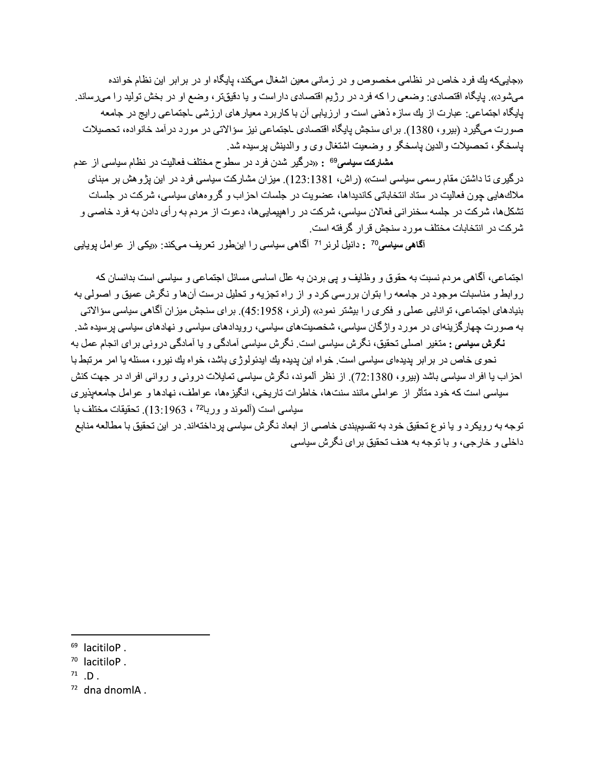«جاییکه یك فرد خاص در نظامی مخصوص و در زمانی معین اشغال میكند، پایگاه او در بر ابر این نظام خوانده میشود». بایگاه اقتصادی: وضعی را که فرد در رژیم اقتصادی دار است و یا دقیقتر ، وضع او در بخش تولید را میرساند. بابگاه اجتماعی: عبارت از بك سازه ذهنی است و ارزیابی آن با كاربرد معبار های ارزشی ـاجتماعی رایج در جامعه صورت ميگير د (بير و ، 1380). بر اي سنجش پايگاه اقتصادي ـاجتماعي نيز سؤ الاتي در مور د در آمد خانو اده، تحصيلات باسخگو ، تحصیلات والدین باسخگو و وضعیت اشتغال وی و والدینش پرسیده شد.

مشارکت سیاسی<sup>69</sup> : «درگیر شدن فرد در سطوح مختلف فعالیت در نظام سیاسی از عدم درگیری تا داشتن مقام رسمی سیاسی است» (راش، 1381:1381). میزان مشارکت سیاسی فرد در این بژوهش بر مبنای ملاكهایی چون فعالیت در ستاد انتخاباتی كاندیداها، عضویت در جلسات احزاب و گروههای سیاسی، شركت در جلسات تشکلها، شرکت در جلسه سخنر انی فعالان سیاسی، شرکت در راهیبماییها، دعوت از مردم به رأی دادن به فرد خاصبی و شر کت در انتخابات مختلف مور د سنجش قر ار گر فته است.

آ**گاهی سیاسی<sup>70</sup> :** دانیل لرنر <sup>71</sup> آگاهی سیاسی را اینطور تعریف میکند: «یکی از عوامل پویایی

اجتماعی، آگاهی مردم نسبت به حقوق و وظایف و پی بردن به علل اساسی مسائل اجتماعی و سیاسی است بدانسان که ر وابط و مناسبات موجود در جامعه را بتوان بر رسی کر د و از راه تجزیه و تحلیل در ست آنها و نگر ش عمیق و اصولی به بنیادهای اجتماعی، توانایی عملی و فکری را بیشتر نمود» (لرنر ، 1958).45). برای سنجش میزان آگاهی سیاسی سؤالاتی به صورت چهار گزینهای در مورد و اژگان سیاسی، شخصیتهای سیاسی، رویدادهای سیاسی و نهادهای سیاسی پرسیده شد. **نگرش سیاسی :** متغیر اصلی تحقیق، نگرش سیاسی است<sub>.</sub> نگرش سیاسی آمادگی و یا آمادگی درونی برای انجام عمل به نحوی خاص در بر ابر پدیدهای سیاسی است. خواه این پدیده یك ایدئولوژی باشد، خواه یك نیر و ، مسئله یا امر مر تبط با احزاب یا افراد سیاسی باشد (بیرو، 1380:72). از نظر آلموند، نگرش سیاسی تمایلات درونی و روانی افراد در جهت کنش سیاسی است که خود متأثر از عواملی مانند سنتها، خاطرات تاریخی، انگیزهها، عواطف، نهادها و عوامل جامعهیذیری سياسي است (آلموند و وربا<sup>72</sup> ، 13:1963). تحقيقات مختلف با

توجه به رویکرد و یا نوع تحقیق خود به تقسیمٖبندی خاصبی از ابعاد نگرش سیاسی پرداختهاند. در این تحقیق با مطالعه منابع داخلی و خارجی، و با توجه به هدف تحقیق بر ای نگرش سیاسی

- <sup>70</sup> lacitiloP.
- $71$  .D.
- $72$  dna dnomlA.

<sup>&</sup>lt;sup>69</sup> lacitiloP.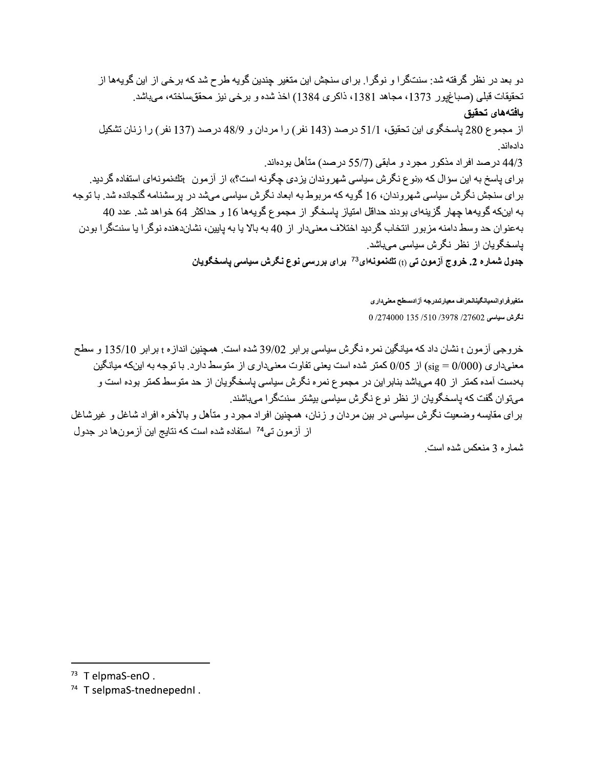دو بعد در نظر گرفته شد: سنتگرا و نوگرا. برای سنجش این متغیر چندین گویه طرح شد که برخی از این گویهها از تحقيقات قبلي (صباغيور 1373، مجاهد 1381، ذاكري 1384) اخذ شده و برخي نيز محققساخته، ميباشد. يافتههاى تحقيق

از مجموع 280 ياسخگوي اين تحقيق، 51/1 درصد (143 نفر) را مردان و 48/9 درصد (137 نفر) را زنان تشكيل دادماند

44/3 درصد افراد مذكور مجرد و مابقى (55/7 درصد) متأهل بودهاند.

برای پاسخ به این سؤال که «نوع نگرش سیاسی شهروندان بزدی چگونه است؟» از آزمون <sub>ا</sub>تكنمونهای استفاده گردید. بر ای سنجش نگرش سیاسی شهر وندان، 16 گویه که مربوط به ابعاد نگرش سیاسی میشد در برسشنامه گنجانده شد. با توجه به اینکه گویهها چهار گزینهای بودند حداقل امتیاز باسخگو از مجموع گویهها 16 و حداکثر 64 خواهد شد. عدد 40 بهعنوان حد وسط دامنه مزبور انتخاب گردید اختلاف معنىدار از 40 به بالا یا به پایین، نشاندهنده نوگرا یا سنتگرا بودن یاسخگویان از نظر نگرش سیاسی میباشد.

جدول شماره 2. خروج آزمون تی <sub>(t)</sub> تك نمونه ای<sup>73</sup> برای بررسی نوع نگرش سیاسی یاسخگویان

متغيرفراوانىميانگينانحراف معيارتندرجه آزادسطح معنىدارى نكرش سياسي 27602/ 3978/ 510/ 135/ 135 274000

خر وجي آز مون t نشان داد كه ميانگين نمر ه نگر ش سياسي بر ابر 39/02 شده است. همچنين انداز ه t بر ابر 135/10 و سطح معنیداری (50000 sig) از 0/05 کمتر شده است یعنی تفاوت معنیداری از متوسط دارد. با توجه به اینکه میانگین بهدست آمده کمتر از 40 ميباشد بنابراين در مجموع نمره نگرش سياسي ياسخگويان از حد متوسط کمتر بوده است و میتوان گفت که پاسخگویان از نظر نوع نگرش سیاسی بیشتر سنتگرا میباشند.

برای مقایسه وضعیت نگرش سیاسی در بین مردان و زنان، همچنین افراد مجرد و متأهل و بالأخره افراد شاغل و غیرشاغل از آزمون تب<sup>74</sup> استفاده شده است که نتایج این آزمونها در جدول

شمار ه 3 منعكس شده است.

 $73$  T elpmaS-enO.

<sup>&</sup>lt;sup>74</sup> T selpmaS-tnednepednl.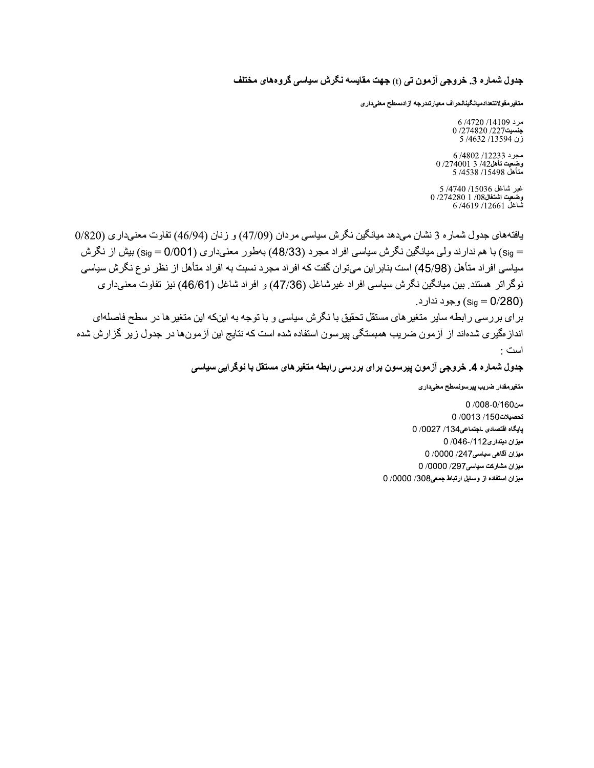## جدول شماره 3. خروجی آزمون تی (t) جهت مقایسه نگرش سیاسی گروههای مختلف

متغير مقولاتتعدادميانگينانحراف معيارتندرجه آزادسطح معلىدارى

مرد 14109/ 6/4720  $0/274820/227$ جنسيت زن 13594/ 5 /4632

مجرد 12233/ 4802/ .<br>وضعيت تأهل42/ 3 274001/ 0 /274001<br>متأهل 15498/ 1538/ 4538/ 5 /4538

غير شاغل 15036/ 4740/ 5  $0/2742801/08$ وضعيت اشتغال شَاغِلَ 12661/ 4619/ 6

بافتههاي جدول شماره 3 نشان ميدهد ميانگين نگرش سياسي مردان (47/09) و زنان (46/94) تفاوت معنىداري (820/ = sig) با هم ندارند ولي ميانگين نگرش سياسي افراد مجرد (48/33) بهطور معنىداري (0/001/ sig) بيش از نگرش سیاسی افر اد متأهل (45/98) است بنابر این میتوان گفت که افر اد مجر د نسبت به افر اد متأهل از نظر نو ع نگرش سیاسی نوگراتر هستند. بین میانگین نگرش سیاسی افراد غیرشاغل (47/36) و افراد شاغل (46/61) نیز تفاوت معنیداری (sig = 0/280) وجود ندار د.

بر ای بر رسی ر ابطه سایر متغیر های مستقل تحقیق با نگرش سیاسی و با توجه به اینکه این متغیر ها در سطح فاصلهای انداز مگیری شدهاند از آزمون ضریب همبستگی بیرسون استفاده شده است که نتایج این آزمونها در جدول زیر گزارش شده است :

جدول شماره 4. خروجی آزمون پیرسون برای بررسی رابطه متغیرهای مستقل با نوگرایی سیاسی

متغيرمقدار ضريب ييرسونسطح معنىدارى

سن008-0/160 0 تحصيلات150/ 0013/ 0 يابكاه اقتصادى اجتماعى134/ 0/0027 ميزان ديندارى112/-046/0 ميزان آگاهي سياسي247/ 0000/ 0 ميزان مشاركت سياسي297/ 0000/ 0 میزان استفاده از وسایل ارتباط جمعی308/ 0000/ 0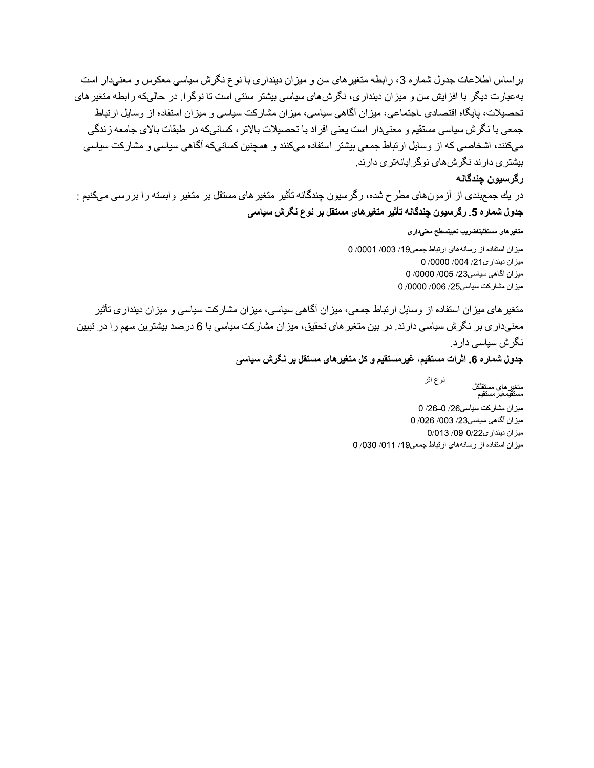ات جدول شماره کی، رابطه منعیر های سن و میران دینداری با نوع نکرش سیاسی معکوس و معنیدار است :عات جدول شماره 3، رابطه منغیر های سن و میزان دینداری با<br>:عات جدول شماره 3، رابطه منغیر های سن و میزان دینداری با<br>ایگاه اقتصادی ـاجتماعی، میزان آگاهی سیاسی، میزان مشارکت<br>ش سیاسی مستقیم و معنیدار است یعنی افراد با تحصیلات بر اساس اطلاعات جدول شماره 3، رابطه متغیر های سن و میزان دینداری با نوع نگرش سیاسی معکوس و معنیدار است<br>به عبارت دیگر با افزایش سن و میزان دینداری، نگرش،های سیاسی بیشتر سنتی است تا نوگرا. در حالیکه رابطه متغیر های<br>حصوبات، بهعبارت دیگر با افرایش سن و میران دینداری، تکرشهای سیاسی بیشتر سنتی است تا توکر ا ِ در حالیکه لـه منغیر های سن و میز ان دینداری با نوع نگرش سیاسی معکوس و ما<br>نینداری، نگرش های سیاسی بیشتر سنتی است تا نوگرا <sub>.</sub> در حالیکه راه<br>نیز ان آگاهی سیاسی، میز ان مشارکت سیاسی و میز ان استفاده از وسایا<br>ار است یعنی افراد با تحصیل ً تحصيلات، پايگاه اقتصادي ـاجتماعي، ميران اڪاهي سياسي، ميران مسارڪت سياسي و ميران استفاده ار وسايل ارتباط ، دینداری با نوع نگرش سیاسی معکوس و معنیدار است<br>بی بیشتر سنتی است تا نوگر ! در حالیکه رابطه منغیرهای<br>ن مشارکت سیاسی و میزان استفاده از وسایل ارتباط<br>سیلات بالاتر ، کسانیکه آگاهی سیاسی و مشارکت سیاسی<br>ند و همچنین کسانیکه آگا بر اساس اطلاعات جدول شماره 3، رابطه متغیر های سن و میزان دیندار<br>به عبارت دیگر با افزایش سن و میزان دینداری، نگرش های سیسی بیشنا<br>تحصیلات، پایگاه اقتصادی ـاجتماعی، میزان اگاهی سیاسی، میزان مشا<br>جمعی با نگرش سیاسی مستقیم و مع دار آست یعنی افراد با تحصیلات بالاتر ، کسانیکه در طبقات بالای جامعه ریدگی بر اساس اطلاعات جدول شماره 3، رابطه متغیر های سن و میز ان دینداری با نوع نگرش سیاسی معکوس و معنیدار است<br>به عبارت دیگر با افزایش سن و میزان دینداری، نگرش،های سین و میزان دینداری با نوع نگرش سیاسی معکوس و معنیدار است<br>تحصیلا جدول شماره 3، رابطه متغیر های سن و میزان دینداری با نوع نگرش سیاسی معکوس و .<br>فزایش سن و میزان دینداری، نگرش های سواسی بیشتر سنتی است تا نوگرا. ر حالمیکه را<br>اقتصادی ـاجتماعی، میزان آگاهی سیاسی، میزان مشارکت سیاسی و میزان ا میکنند، اشخاصبی که از وسایل ارتباط جمعی بیشتر استفاده میکنند و همچنین کسانیکه آگاهی سیاسی و مشارکت سیاسی دارید تکری*نهای تو*کرایاته*تری دار*ند. بر اساس اطلاعات جدول شماره 3، رابطه متغير هاى سن و ميزان ديندارى با نوع نگرش سياسى معكوس و معفىدار است<br>به عبارت ديگر با افزايش سن و ميزان ديندارى، نگرش هاى سياسى بيشتر سنتى است تا نوگرا ـ در حالىكه رابطه متغير هاى<br>جمعى با دینداری، نگزش،های سیاسی بیشتر سنتی است تا نوگرا ِ در حالیکه رابطه متغیرهای<br>دینداری، نگزش،های سیاسی بیشتر سنتی است تا نوگرا ِ در حالیکه رابطه متغیرهای<br>میزان آگاهی سیاسی، میزان مشارکت سیاسی و میزان استفاده از وسایل ارتباط<br>ج

در یك جمع بندی از از مون های مطرح شده، رخر سیون چندهانه تاثیر متعیر های مسئفل بر متعیر و ابسته را بر جدول شماره 5. رگرسیون چندگانه تأثیر متغیرهای مستقل بر نوع نگرش سیا*سی* 

#### متغير هاى مستقلبتاضريب تعيينسطح معنىدارى

<sub>-</sub> رسانههای ارتباط جمعی19/ 1003/ 1000/ 0 بر گ**رسبیون چندگانه**<br>رگرسبی**ون چندگانه**<br>در بك جمعبندی از آزمون های<br>جدول شماره 5. رگرسبیون چندگانه<br>منغیرهای مستقلبتاضریب تعیینسطح معنیدار<br>میزان استفاده از رسانههای ارتباط جمعی<br>میزان دینداری21/ 0000/ 0000/ 0000/ 0000/ 000<br>م ميزان ديندارى 21/ 000/ 0000/ 0 0 /0000 /005 /23 /23 0/000 0 000 میر ان مشارکت سیاسی25/ 000/<br>.

ارتباط جمعی، میران احاهی سیاسی، میران مسارکت سیاسی و میران دیندار *ی* ناتیر جدول العالم و تكون المستقلين بالتوسيق التي تتم التقليل المستقل التي توافق الحكوم المستقل التي تست الرسال التي ت<br>تعليم المستقلين المستقلين التي تتم التي تم التقليل المستقل التي تم التي تم التي تم التي تم التي تم التي تم ال معنیداری بر تکرش سیاسی دارند. در بین منعیر های تحقیق، میران مشارکت سیاسی با 6 درصد بیشترین سهم را د بیسی<br>؛ میز ان مشارکت سیاسی و میز ان دینداری تأثیر<br>شارکت سیاسی با 6 درصد بیشترین سهم را در تبیین<br>ں سیاسی .. و سرت يورن باست - ساير باستوريس مستن بر سرح - سرمن سايستي باست بريد باست - سرمن - سرمن سايستي باست باست باس<br>سانههاى ارتباط جمعى19/ 000 / 0000 / 0000 / 0000 / 0000 / 0000 / 0000 / 0000 / 0000 / 0000 / 0000 / 0000 / 000<br> ىلارش سياسى دارد.

**جدول شماره 6. اثرات مستقیم، غیرمستقیم و کل متغیرهای مستقل بر نـگرش سیاسی**<br>نوع اثر

متخیر های میز ان استفاده از وسایل<br>معنیداری بر نگرش سیاسی دارند<br>نگرش سیاسی دارد<br>ج**دول شماره 6. اثرات مستقیم، غیره**<br>منغیرهای مستقلکل<br>میزان مشارکت سیاسی23/ 0/26 00<br>میزان منداری26/ 003/ 0/26 009<br>میزان سینداری26/ 003/ 0/26-0<br>م میر ان مسارکت سیاسی26/ U /26–U /26 ميزان آگاهي سياسي23/ 003/ 026/ 0 -میر ان دیندا*ر ی*22/U9-U/U13 /U9-U سبقان مستقلکل<br>متغیر های مستقلکل<br>میزان مشارکت سیاسی26/ 0-26/ 0<br>میزان مشارکت سیاسی26/ 0-26/ 0<br>میزان مشارکت سیاسی28/ 003/ 0026/ 003<br>میزان دیندار میزان دیندار 09- 0/ 013/ 09- 0/<br>میزان استفاده از رسانههای ارتباط جمعی!

<sub>د</sub> رسانههای ارتباط جمعی19/ 11/7/ 030/ 0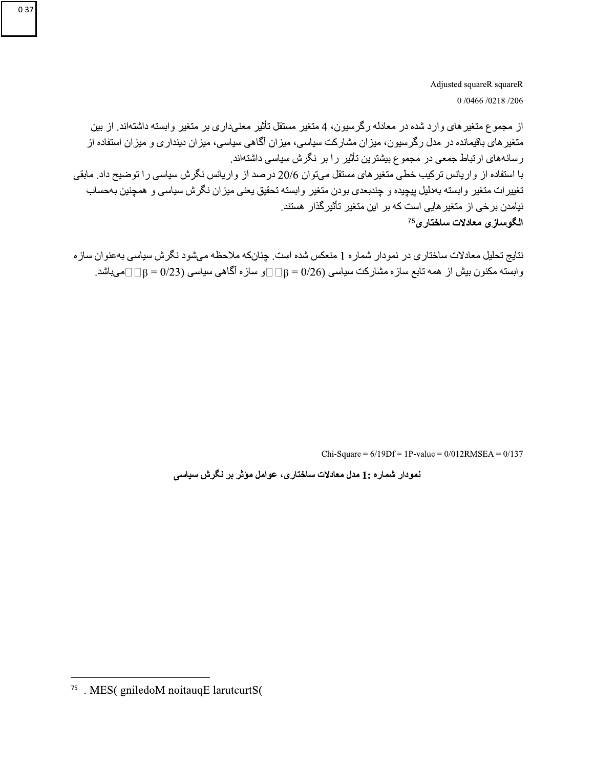Adjusted squareR squareR 0/0466/0218/206

از مجموع متغیر های وارد شده در معادله رگرسیون، 4 متغیر مستقل تأثیر معنیداری بر متغیر وابسته داشتهاند. از بین متغیر های باقیمانده در مدل رگرسیون، میزان مشارکت سیاسی، میزان آگاهی سیاسی، میزان دینداری و میزان استفاده از رسانههای ارتباط جمعی در مجموع بیشترین تأثیر را بر نگرش سیاسی داشتهاند. با استفاده از واریانس ترکیب خطی متغیر های مستقل میتوان 20/6 درصد از واریانس نگرش سیاسی را توضیح داد. مابقی تغييرات متغير وابسته بهدليل ييچيده و چندبعدي بودن متغير وابسته تحقيق يعني ميزان نگرش سياسي و همچنين بهحساب نیامدن بر خی از متغیر هایی است که بر این متغیر تأثیر گذار هستند. الگوساز ي معادلات ساختار ي<sup>75</sup>

نتایج تحلیل معادلات ساختاری در نمودار شماره 1 منعکس شده است. چنانکه ملاحظه میشود نگرش سیاسی بهعنوان سازه وابسته مکنون بیش از همه تابع سازه مشارکت سیاسی (26/0 =  $\beta = \Box \Box$ و سازه آگاهی سیاسی (23/0 =  $\beta = \Box \Box$ میباشد.

Chi-Square =  $6/19Df = 1P$ -value =  $0/012RMSEA = 0/137$ 

نمودار شماره :1 مدل معادلات ساختاری، عوامل مؤثر بر نگرش سیاسی

<sup>&</sup>lt;sup>75</sup> . MES( gniledoM noitauqE larutcurtS(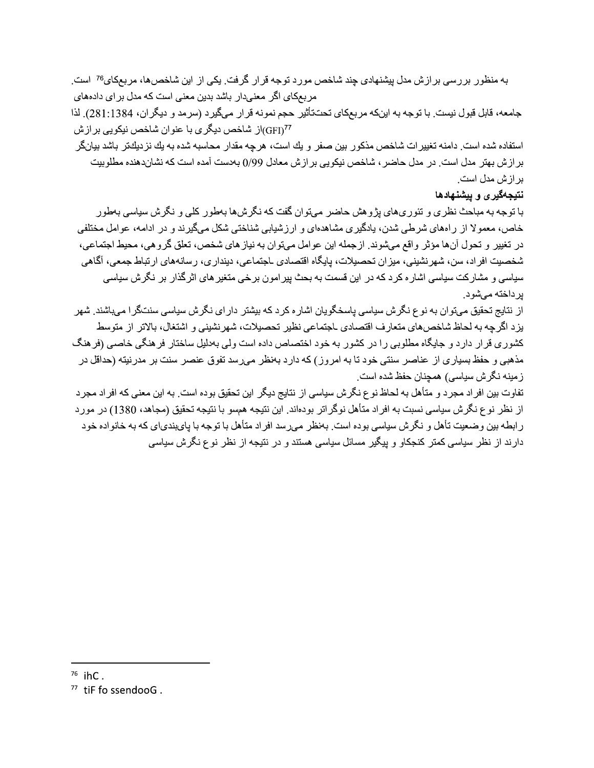به منظور بررسی برازش مدل بیشنهادی چند شاخص مورد توجه قرار گرفت. یکی از این شاخصها، مربعکای<sup>76</sup> است. مربعکای اگر معنیدار باشد بدین معنی است که مدل بر ای دادههای

جامعه، قابل قبول نيست. با توجه به اينكه مربعكاي تحت تأثير حجم نمونه قرار ميگيرد (سرمد و ديگران، 1384:1384). لذا GFD<sup>77</sup>)از شاخص ديگر ي با عنو ان شاخص نيكويي بر از ش

استفاده شده است. دامنه تغییر ات شاخص مذکور بین صفر و یك است، هرچه مقدار محاسبه شده به یك نزدیكتر باشد بیانگر بر از ش بهتر مدل است. در مدل حاضر ، شاخص نیکویی بر از ش معادل 99/0 بهدست آمده است که نشاندهنده مطلوبیت بر از ش مدل است.

نتيجهگير ي و ييشنهادها

با توجه به مباحث نظر ی و تئو ر ی های بژ و هش حاضر مے تو ان گفت که نگر ش ها بهطو ر کلی و نگر ش سیاسی بهطو ر خاص، معمولا از رامهای شرطی شدن، بادگیری مشاهدهای و ارز شیابی شناختی شکل میگیرند و در ادامه، عوامل مختلفی در تغییر و تحول أنها مؤثر واقع میشوند. ازجمله این عوامل میتوان به نیاز های شخص، تعلق گروهی، محیط اجتماعی، شخصیت افراد، سن، شهرنشینی، میزان تحصیلات، پایگاه اقتصادی ـاجتماعی، دینداری، رسانههای ارتباط جمعی، آگاهی سیاسی و مشارکت سیاسی اشار ه کر د که در این قسمت به بحث بیر امون بر خی متغیر های اثر گذار بر ِ نگر ش سیاسی بر داخته مے شو د.

از نتایج تحقیق مےتو ان به نو ع نگر ش سیاسی پاسخگو پان اشار ه کر د که بیشتر دار ای نگر ش سیاسی سنتگر ا مے پاشند يزد اگرچه به لحاظ شاخص،اي متعارف اقتصادي ـاجتماعي نظير تحصيلات، شهرنشيني و اشتغال، بالاتر از متوسط کشوری قرار دارد و جایگاه مطلوبی را در کشور به خود اختصاص داده است ولی بهدلیل ساختار فرهنگی خاصبی (فرهنگ مذهبی و حفظ بسیار ی از ِ عناصر ِ سنتی خود تا به امر وز ) که دار د بهنظر ِ می سد تفوق عنصر ِ سنت بر ِ مدر نیته (حداقل در ز مینه نگرش سیاسی) همچنان حفظ شده است.

تفاوت بین افراد مجرد و متأهل به لحاظ نوع نگرش سیاسی از نتایج دیگر این تحقیق بوده است. به این معنی که افراد مجرد از نظر نوع نگرش سیاسی نسبت به افراد متأهل نوگراتر بودهاند. این نتیجه همسو با نتیجه تحقیق (مجاهد، 1380) در مورد ر ابطه بین وضعیت تأهل و نگرش سیاسی بوده است. بهنظر میرسد افراد متأهل با توجه با پایبندیای که به خانواده خود دارند از نظر سیاسی کمتر کنجکاو و بیگیر مسائل سیاسی هستند و در نتیجه از نظر نوع نگرش سیاسی

 $76$  ihC.

 $77$  tiF fo ssendooG.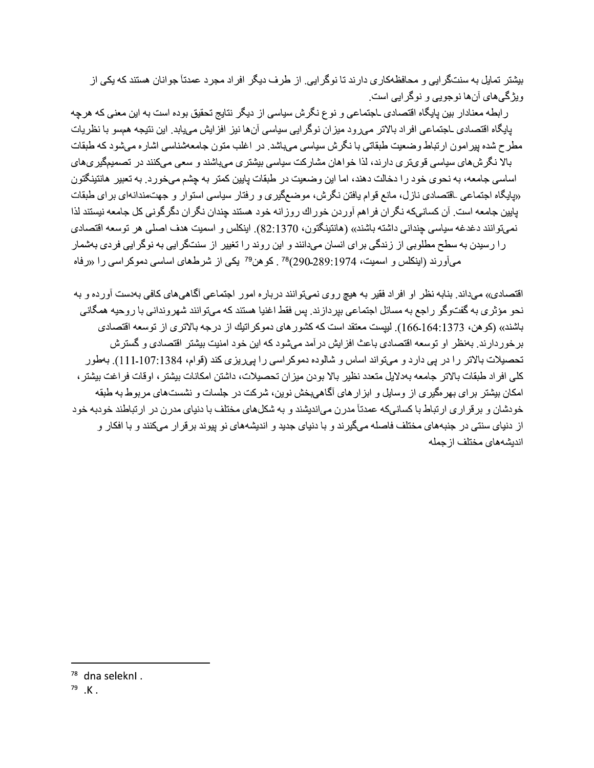بیشتر تمایل به سنتگر ایی و محافظهکاری دارند تا نوگر ایی. از طرف دیگر افراد مجرد عمدتاً جوانان هستند که یکی از ويژگيهاي آنها نوجويي و نوگر ايي است.

ر ابطه معنادار بین بایگاه اقتصادی ـاجتماعی و نوع نگر ش سیاسی از دیگر نتایج تحقیق بوده است به این معنی که هر جه بابگاه اقتصادی ـاجتماعی افر اد بالاتر می رو د میز ان نوگر ایی سیاسی آن ها نیز افز ایش می پابد. این نتیجه همسو با نظر پات مطرح شده بیر امون ارتباط وضعیت طبقاتی با نگرش سیاسی میباشد. در اغلب منون جامعهشناسی اشاره میشود که طبقات بالا نگرشهای سیاسی قویتری دارند، لذا خواهان مشارکت سیاسی بیشتری میباشند و سعی میکنند در تصمیمگیریهای اساسی جامعه، به نحوی خود را دخالت دهند، اما این وضعیت در طبقات پایین کمتر به چشم میخورد. به تعبیر هانتینگتون «پایگاه اجتماعی ـاقتصـادی نـازل، مانـع قوام پافتن نگرش، موضـعگیری و رفتار سیاسی استوار و جهتمندانـهای برای طبقات بابین جامعه است. آن کسانیکه نگران فراهم آوردن خوراك روزانه خود هستند جندان نگران دگرگونی کل جامعه نیستند لذا نميتوانند دغدغه سياسي چنداني داشته باشند» (هانتينگتون، 1370.2). اينكلس و اسميت هدف اصلي هر توسعه اقتصادي را رسیدن به سطح مطلوبی از زندگی برای انسان میدانند و این روند را تغییر از سنتگرایی به نوگرایی فردی بهشمار میآورند (اینکلس و اسمیت، 1974:299-289)<sup>78</sup> ـ کوهن<sup>79</sup> یکی از شرطهای اساسی دموکر اسی را «رفاه

اقتصادي» ميداند. بنابه نظر او افراد فقير به هيچ روي نميتوانند درباره امور اجتماعي أگاهيهاي كافي بهدست أورده و به نحو مؤثری به گفتوگو راجع به مسائل اجتماعی بیردازند. پس فقط اغنیا هستند که میتوانند شهروندانی با روحیه همگانی باشند» (كو هن، 1373.164.1373). لييست معتقد است كه كشور هاي دموكر اتيك از درجه بالاتري از توسعه اقتصادي بر خور دارند. بهنظر او توسعه اقتصادي باعث افز ايش در آمد ميشود كه اين خود امنيت بيشتر اقتصادي و گستر ش تحصیلات بالاتر را در پی دارد و میتواند اساس و شالوده دموکر اسی را پی ریزی کند (قوام، 1384:107-1111). بهطور كلي افر اد طبقات بالاتر جامعه بهالايل متعدد نظير بالا بودن ميزان تحصيلات، داشتن امكانات بيشتر ، اوقات فر اغت بيشتر ، امکان بیشتر برای بهر مگیری از وسایل و ابزار های آگاهیبخش نوین، شرکت در جلسات و نشستهای مربوط به طبقه خودشان و برقراری ارتباط با کسانیکه عمدتاً مدرن میاندیشند و به شکلهای مختلف با دنیای مدرن در ارتباطند خودبه خود از دنیای سنتی در جنبههای مختلف فاصله میگیرند و با دنیای جدید و اندیشههای نو بیوند بر قرار میکنند و با افکار و اندیشههای مختلف از جمله

 $78$  dna seleknl.

 $79 K.$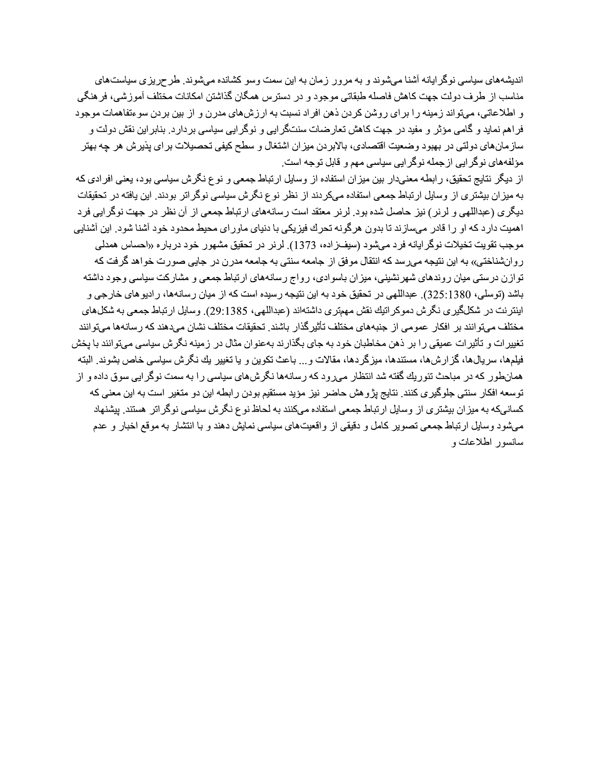اندیشههای سیاسی نوگر ایانه آشنا میشوند و به مرور زمان به این سمت وسو کشانده میشوند. طرحریزی سیاستهای مناسب از طرف دولت جهت كاهش فاصله طبقاتي موجود و در دسترس همگان گذاشتن امكانات مختلف آموزشي، فر هنگي و اطلاعاتی، میتواند زمینه را برای روشن کردن ذهن افراد نسبت به ارزشهای مدرن و از بین بردن سوءتفاهمات موجود فر اهم نماید و گامی مؤثر و مفید در جهت کاهش تعار ضات سنتگر ایی و نوگر ایی سیاسی بر دار د. بنابر این نقش دولت و ساز مانهای دولتی در بهبود وضعیت اقتصادی، بالابر دن میزان اشتغال و سطح کیفی تحصیلات بر ای پذیر ش هر چه بهتر مؤلفههای نوگر ایی از جمله نوگر ایی سیاسی مهم و قابل توجه است.

از دیگر نتایج تحقیق، رابطه معنیدار بین میزان استفاده از وسایل ارتباط جمعی و نوع نگرش سیاسی بود، یعنی افرادی که به میزان بیشتری از وسایل ارتباط جمعی استفاده میکردند از نظر نوع نگرش سیاسی نوگراتر بودند. این یافته در تحقیقات دیگری (عبداللهی و لرنر) نیز حاصل شده بود. لرنر معتقد است رسانههای ارتباط جمعی از آن نظر در جهت نوگرایی فرد اهمیت دارد که او را قادر میسازند تا بدون هرگونه تحرك فیزیکی با دنیای ماورای محیط محدود خود آشنا شود. این آشنایی موجب تقويت تخيلات نوگرايانه فرد ميشود (سيفزاده، 1373). لرنر در تحقيق مشهور خود درباره «احساس همدلي روانشناختی» به این نتیجه میرسد که انتقال موفق از جامعه سنتی به جامعه مدرن در جایی صورت خواهد گرفت که توازن درستی میان روندهای شهرنشینی، میزان باسوادی، رواج رسانههای ارتباط جمعی و مشارکت سیاسی وجود داشته باشد (توسلی، 325:1380). عبداللهی در تحقیق خو د به این نتیجه ر سیده است که از میان ر سانهها، ر ادیو های خار جی و اینتر نت در شکلگیر ی نگر ش دموکر اتیك نقش مهمتر ی داشتهاند (عبداللهی، 29:1385). وسایل ار تباط جمعی به شکلهای مختلف میتوانند بر افکار عمومی از جنبههای مختلف تأثیرگذار باشند. تحقیقات مختلف نشان میدهند که رسانهها میتوانند تغییرات و تأثیرات عمیقی را بر ذهن مخاطبان خود به جای بگذارند بهعنوان مثال در زمینه نگرش سیاسی میتوانند با یخش فیلمها، سریالها، گزارشها، مستندها، میزگردها، مقالات و ... باعث تکوین و یا تغییر یك نگرش سیاسی خاص بشوند. البته همانطور که در مباحث تئوریك گفته شد انتظار مىرود که رسانهها نگرشهاى سیاسى را به سمت نوگرایى سوق داده و از توسعه افکار سنتی جلوگیری کنند. نتایج بژوهش حاضر نیز مؤید مستقیم بودن رابطه این دو متغیر است به این معنی که کسانیکه به میزان بیشتری از وسایل ارتباط جمعی استفاده میکنند به لحاظ نوع نگرش سیاسی نوگراتر هستند. پیشنهاد میشود وسایل ارتباط جمعی تصویر کامل و دقیقی از واقعیتهای سیاسی نمایش دهند و با انتشار به موقع اخبار و عدم سانسور اطلاعات و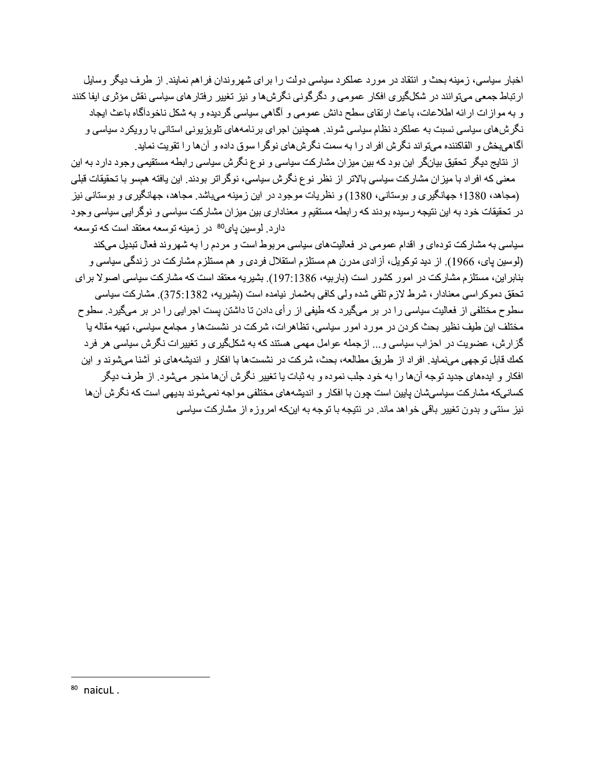اخبار سیاسی، زمینه بحث و انتقاد در مورد عملکرد سیاسی دولت را برای شهروندان فراهم نمایند. از طرف دیگر وسایل ار تباط جمعی میتوانند در شکلگیری افکار عمومی و دگرگونی نگرشها و نیز تغییر رفتار های سیاسی نقش مؤثری ایفا کنند و به موازات ارائه اطلاعات، باعث ارتقاى سطح دانش عمومى و أكماهي سياسي كرديده و به شكل ناخودأكاه باعث ايجاد نگر شهای سیاسی نسبت به عملکر د نظام سیاسی شوند. همچنین اجر ای بر نامههای تلویز یونی استانی با ر ویکر د سیاسی و آگاهیبخش و القاکننده میتواند نگرش افراد را به سمت نگرشهای نوگرا سوق داده و آنها را تقویت نماید.

از نتایج دیگر تحقیق بیانگر این بود که بین میزان مشارکت سیاسی و نوع نگرش سیاسی رابطه مستقیمی وجود دارد به این معنی که افراد با میزان مشارکت سیاسی بالاتر از نظر نوع نگرش سیاسی، نوگراتر بودند. این یافته همسو با تحقیقات قبلی (مجاهد، 1380؛ جهانگیری و بوستانی، 1380) و نظریات موجود در این زمینه میباشد. مجاهد، جهانگیری و بوستانی نیز در تحقیقات خود به این نتیجه رسیده بودند که رابطه مستقیم و معناداری بین میزان مشارکت سیاسی و نوگرایی سیاسی وجود دار د. لوسین بای<sup>80</sup> در زمینه توسعه معتقد است که توسعه

سیاسی به مشارکت تودهای و اقدام عمومی در فعالیتهای سیاسی مربوط است و مردم را به شهروند فعال تبدیل میکند (لوسین پای، 1966). از دید توکویل، آزادی مدرن هم مستلزم استقلال فردی و هم مستلزم مشارکت در زندگی سیاسی و بنابر این، مستلز م مشارکت در امور کشور است (باربیه، 197:1386). بشیر یه معتقد است که مشارکت سیاسی اصولا بر ای تحقق دموکر اسی معنادار ، شرط لاز م تلقی شده و لی کافی بهشمار نیامده است (بشیر یه، 375:1382). مشار کت سیاسی سطوح مختلفی از فعالیت سیاسی ر ا در بر میگیر د که طیفی از ر أی دادن تا داشتن بست اجر ایی ر ا در بر میگیر د مختلف این طیف نظیر بحث کردن در مورد امور سیاسی، نظاهرات، شرکت در نشستها و مجامع سیاسی، تهیه مقاله یا گزارش، عضویت در احزاب سیاسی و... ازجمله عوامل مهمی هستند که به شکلگیری و تغییرات نگرش سیاسی هر فرد كمك قابل توجهي مي نمايد. افر اد از طريق مطالعه، بحث، شركت در نشستها با افكار و انديشههاي نو آشنا مي شوند و اين افكار و ايدههاي جديد توجه آنها را به خود جلب نموده و به ثبات يا تغيير نگرش آنها منجر ميشود. از طرف ديگر کسانیکه مشارکت سیاسیشان بایین است جون با افکار و اندیشههای مختلفی مواجه نمیشوند بدیهی است که نگرش آنها نیز سنتی و بدون تغییر باقی خواهد ماند. در نتیجه با توجه به اینکه امروزه از مشارکت سیاسی

 $80$  naicul.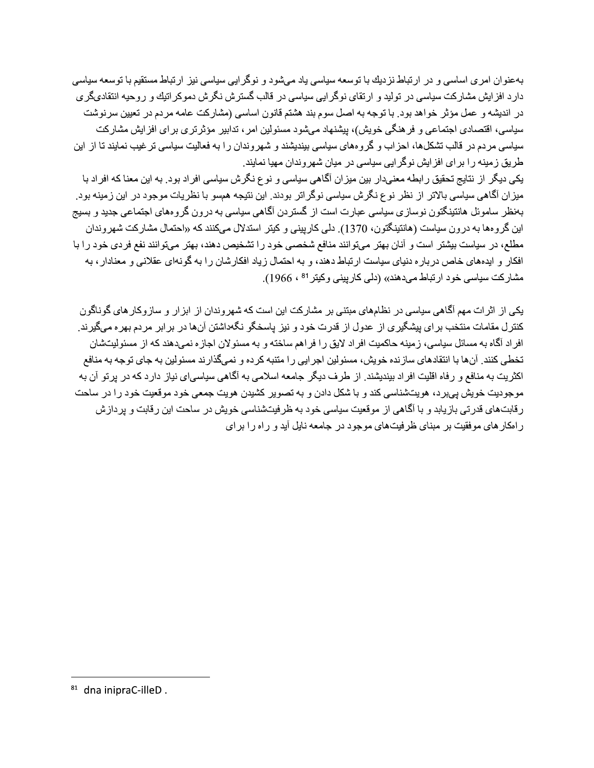بهعنوان امری اساسی و در ارتباط نزدیك با توسعه سیاسی یاد میشود و نوگرایی سیاسی نیز ارتباط مستقیم با توسعه سیاسی دار د افز ایش مشارکت سیاسی در تولید و ارتقای نوگر ایی سیاسی در قالب گسترش نگرش دموکر اتیك و روحیه انتقادیگر ی در اندیشه و عمل مؤثر خواهد بود. با توجه به اصل سوم بند هشتم قانون اساسی (مشارکت عامه مر دم در تعیین سر نوشت سیاسی، اقتصادی اجتماعی و فر هنگی خویش)، بیشنهاد میشود مسئولین امر ، تدابیر ٍ مؤثر تر ی بر ای افز ایش مشار کت سیاسی مردم در قالب تشکلها، احزاب و گروههای سیاسی بیندیشند و شهروندان را به فعالیت سیاسی تر غیب نمایند تا از این طریق زمینه را برای افزایش نوگرایی سیاسی در میان شهروندان مهیا نمایند.

یکی دیگر از نتایج تحقیق رابطه معنیدار بین میزان آگاهی سیاسی و نوع نگرش سیاسی افراد بود. به این معنا که افراد با میزان آگاهی سیاسی بالاتر از نظر نوع نگرش سیاسی نوگراتر بودند. این نتیجه همسو با نظریات موجود در این زمینه بود. بهنظر ساموئل هانتینگتون نوسازی سیاسی عبارت است از گستردن آگاهی سیاسی به درون گروههای اجتماعی جدید و بسیج این گروهها به درون سیاست (هانتینگتون، 1370). دلی کارپینی و کیتر استدلال میکنند که «احتمال مشارکت شهروندان مطلع، در سیاست بیشتر است و آنان بهتر میتوانند منافع شخصبی خود را تشخیص دهند، بهتر میتوانند نفع فردی خود را با افکار و ایدههای خاص درباره دنیای سیاست ارتباط دهند، و به احتمال زیاد افکارشان را به گونهای عقلانی و معنادار ، به مشار کت سیاسی خود ار تباط می دهند» (دلی کار پینی و کیتر <sup>81</sup> ، 1966).

یکی از اثر ات مهم آگاهی سیاسی در نظامهای مبتنی بر مشار کت این است که شهر و ندان از ابز ار و ساز و کار های گو ناگو ن کنترل مقامات منتخب بر ای بیشگیری از عدول از قدرت خود و نیز پاسخگو نگهداشتن آنها در بر ابر مردم بهره میگیرند. افراد آگاه به مسائل سیاسی، زمینه حاکمیت افراد لایق را فراهم ساخته و به مسئولان اجازه نمیدهند که از مسئولیتشان تخطی کنند. آنها با انتقادهای ساز نده خویش، مسئولین اجر ایی را متنبه کر ده و نمیگذار ند مسئولین به جای توجه به منافع اکثریت به منافع و رفاه اقلیت افراد بیندیشند. از طرف دیگر جامعه اسلامی به آگاهی سیاسی|ی نیاز دارد که در بر تو آن به موجودیت خویش بیبرد، هویتشناسی کند و با شکل دادن و به تصویر کشیدن هویت جمعی خود موقعیت خود را در ساحت رقابتهای قدرتی بازیابد و با آگاهی از موقعیت سیاسی خود به ظرفیتشناسی خویش در ساحت این رقابت و پردازش ر امکار های موفقیت بر مبنای ظرفیتهای موجود در جامعه نایل آید و راه را برای

<sup>81</sup> dna inipraC-illeD.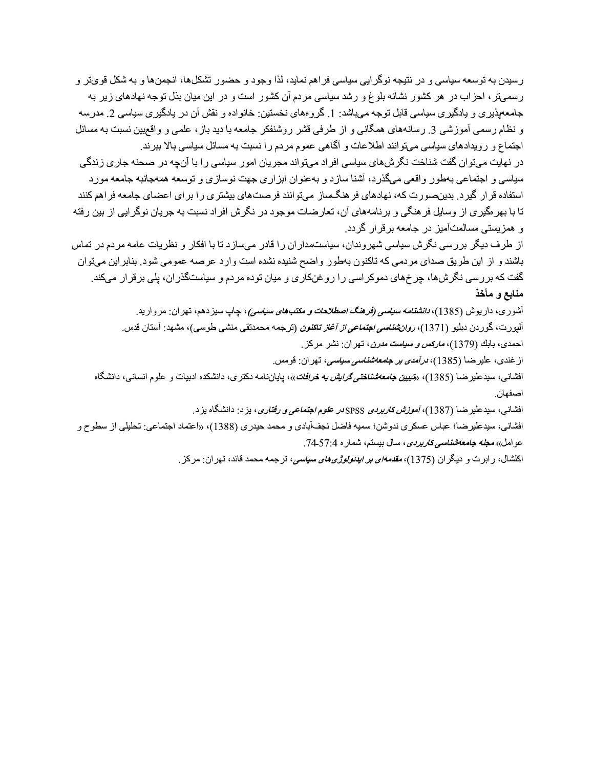رسیدن به توسعه سیاسی و در نتیجه نوگرایی سیاسی فراهم نماید، لذا وجود و حضور تشکلها، انجمنها و به شکل قویتر و ر سمهتر ، احز اب در هر کشور نشانه بلوغ و رشد سیاسی مردم آن کشور است و در این میان بذل توجه نهادهای زیر به جامعهیذیر ی و پادگیری سیاسی قابل توجه میباشد: 1. گروههای نخستین: خانواده و نقش آن در پادگیری سیاسی 2. مدرسه و نظام رسمی آموز شبی 3 ٫ رسانههای همگانی و از طرفی قشر روشنفکر جامعه با دید باز ، علمی و واقع بین نسبت به مسائل اجتماع و رویدادهای سیاسی میتوانند اطلاعات و آگاهی عموم مردم را نسبت به مسائل سیاسی بالا ببرند. در نهایت میتوان گفت شناخت نگرشهای سیاسی افراد میتواند مجریان امور سیاسی را با آنچه در صحنه جاری زندگی سیاسی و اجتماعی بهطور واقعی میگذرد، آشنا سازد و بهعنوان ابزاری جهت نوسازی و توسعه همهجانبه جامعه مورد استفاده قرار گیرد. بدینصورت که، نهادهای فر هنگساز میتوانند فرصتهای بیشتری را برای اعضای جامعه فراهم کنند تا با بهر مگیری از وسایل فر هنگی و برنامههای آن، تعارضات موجود در نگرش افراد نسبت به جریان نوگرایی از بین رفته و همز پستی مسالمتآمیز در جامعه بر قر ار گر دد.

از طرف دیگر بررسی نگرش سیاسی شهروندان، سیاستمداران را قادر میسازد تا با افکار و نظریات عامه مردم در تماس باشند و از این طریق صدای مردمی که تاکنون بهطور واضح شنیده نشده است وارد عرصه عمومی شود. بنابراین میتوان گفت که بررسی نگرشها، چرخهای دموکر اسی را روغنکاری و میان توده مردم و سیاستگذر ان، بلی بر قرار میکند. منابع و مأخذ

> آشوری، داریوش (1385)، *دانشنامه سیاسی (فرهنگ اصطلاحات و مکتبهای سیاسی)*، چاپ سبزدهم، تهران: مروارید. آليورت، گوردن دبليو (1371)، *روانڤنناسي اجتماعي از آغاز تاكنون* (ترجمه محمدنقي منشي طوسي)، مشهد: آستان قدس<sub>.</sub>

> > احمدي، بابك (1379)، *ماركس و سياست مدرن*، تهران: نشر مركز.

از غندي، علير ضـا (1385)، *درآمدي بر جامعهشنـاسي سياسي*، تـهر ان: قومس.

افشانبي، سيدعلير ضـا (1385)، «*تبيين جامعهشناختي گرايش به خرافات*»، پاياننامه دكتر ي، دانشكده ادبيات و علوم انسانبي، دانشگاه اصفهان.

افشانبی، سیدعلیرضا (1387)، *آموزش کاربردی* SPSS*در علوم اجتماعی و رفتاری*، بزد: دانشگاه بزد<sub>.</sub>

افشانی، سیدعلیرضا؛ عباس عسکری ندوشن؛ سمیه فاضل نجفآبادی و محمد حیدری (1388)، «اعتماد اجتماعی: تحلیلی از سطوح و عوامل» مجله جامعهشناسر كاربردي، سال بيستم، شماره 4:57-74.

اکلشال، رابرت و دیگران (1375)، *مقدمهای بر ایدئولوژی های سیاسی*، ترجمه محمد قائد، تهران: مرکز <sub>.</sub>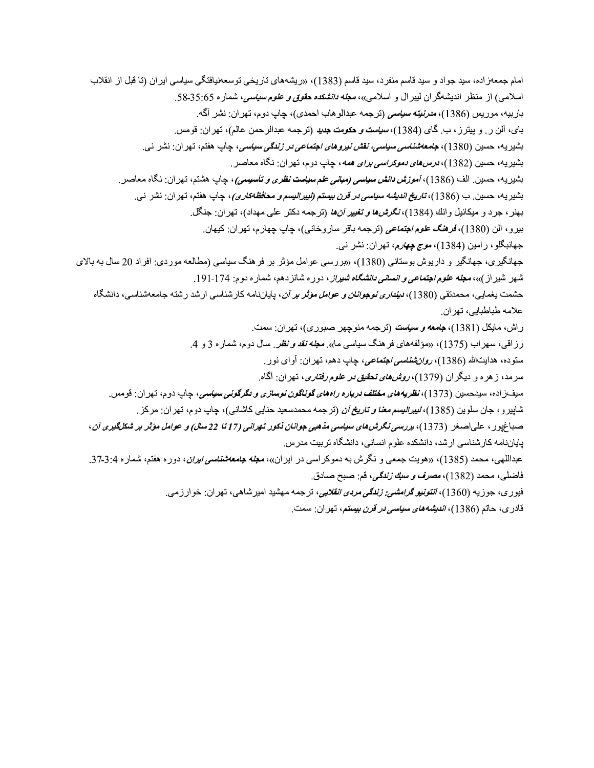امام جمعهز اده، سید جواد و سید قاسم منفرد، سید قاسم (1383)، «ریشههای تاریخی توسعهنیافتگی سیاسی ایران (تا قبل از انقلاب اسلامی) از منظر اندیشهگران لیبرال و اسلامی»، مع*له دانشکده حقوق و علوم سیاسی،* شماره 35:65. باربيه، موريس (1386)، *مدرنيته سياسي* (ترجمه عبدالوهاب احمدي)، جاب دوم، تهران: نشر آگه<sub>.</sub> باي، آلن ر <sub>.</sub> و بيتر ز ، ب گاي (1384)، *سياست و حكومت جديد* (تر جمه عبدالر حمن عالم)، تهر ان: فو مس بشيريه، حسين (1380)، *جامعهشناسي سياسي، نقش نيروهاي اجتماعي در زندگي سياسي*، جاب هفتم، تهران: نشر نبي. بشيريه، حسين (1382)، *درسهاي دموكراسي براي همه*، جاب دوم، تهران: نگاه معاصر<sub>.</sub> بشيريه، حسين<sub>.</sub> الف (1386)، *آموزش دانش سياسي (مباني علم سياست نظري و تأسيسي)*، چاپ هشتم، تهران: نگاه معاصر<sub>.</sub> بشيريه، حسين<sub>.</sub> ب (1386)، *تاريخ انديثه سياسي در قرن بيستم (ليبراليسم و محافظهكاري)*، چاپ هفتم، تهر ان: نشر ني. بهنر ، جرد و ميكائيل وانك (1384)، *نگرشها و تغيير آنها* (ترجمه دكتر على مهداد)، تهران: جنگل<sub>.</sub> بيرو ، آلن (1380)، *فرهنگ علوم اجتماعي* (ترجمه باقر ساروخانبي)، چاپ چهارم، تهران: كيهان. جهانبگلو، رامین (1384)، *موج چهارم*، تهران: نشر نبي. جهانگیری، جهانگیر و داریوش بوستانی (1380)، «بررسی عوامل مؤثر بر فرهنگ سیاسی (مطالعه موردی: افراد 20 سال به بالای شهر شیر از )»، م*جله علوم اجتماعی و انسانی دانشگاه شیراز*، دوره شانز دهم، شماره دوم: 174-191. حشمت بخمابی، محمدتقی (1380)، *دینداری نوجوانان و عوامل مؤثر بر آن*، بایاننامه کار شناسی ار شد ر شته جامعهشناسی، دانشگاه علامه طباطبايي، تهران. راش، مايكل (1381)، ج*امعه و سياست* (ترجمه منوچهر صبوري)، تهران: سمت. رزاقی، سهراب (1375)، «مؤلفههای فرهنگ سیاسی ما». مع*له نقد و نظر*. سال دوم، شماره 3 و 4. ستوده، هدايتالله (1386)، *روانشناسي اجتماعي،* جاب دهم، تهر ان: آواي نور. سرمد، زهره و دیگران (1379)، *روشهای تحقیق در علوم رفتاری*، تهران: آگاه. سيفــزاده، سيدحسين (1373)، *نظريههاي مختلف درباره راههاي گونـاگون نوسازي و دگرگوني سياسي*، چاپ دوم، تهران: قومس. شاپیرو، جان سلوین (1385)، *لیپرالیسم معنا و تاریخ آن* (ترجمه محمدسعید حنایی کاشانی)، چاپ دوم، تهران: مرکز <sub>.</sub> صداغپور ، علیاصغر (1373)، برر*سی نگرشهای سیاسی مذهبی جوانان ذکور تهرانی (17تا 22 سال) و عوامل مؤثر بر شکلگیری آن*، بایاننامه کار شناسی ار شد، دانشکده علوم انسانی، دانشگاه تر بیت مدر س عبداللهی، محمد (1385)، «هویت جمعی و نگرش به دموکر اسی در ایران»، **م***جله جامعهشناسی ایران***،** دوره هفتم، شماره 3:4-37. فاضلي، محمد (1382)، *مصرف و سبك زندگي،* قم: صبح صادق. فیوری، جوزیه (1360)، *آنتونیو گرامشی: زندگی مردی انقلابی،* ترجمه مهشید امیرشاهی، تهران: خوارزمی.

قادري، حاتم (1386)، *انديشههاي سياسي در قرن بيستم*، تهر ان: سمت.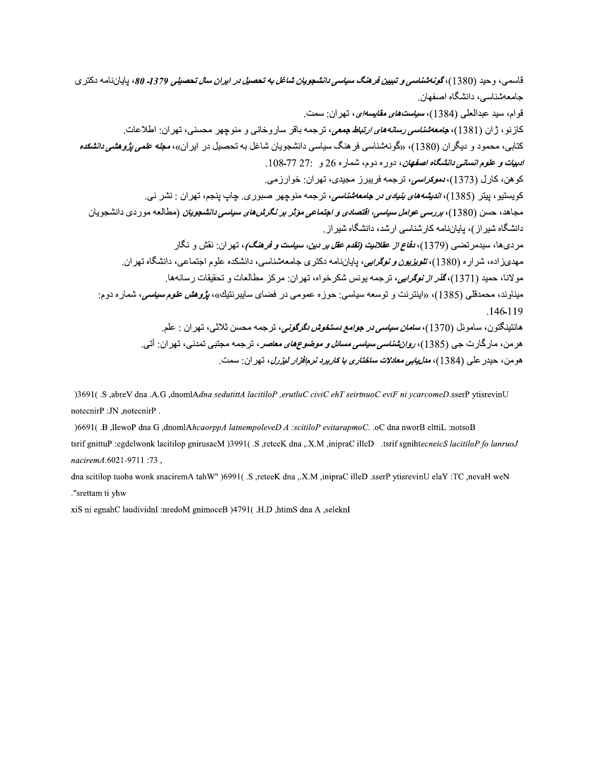قاسمی، وحيد (1380)، گ*ونهشناسی و تبيين فرهنگ سياسی دانشجويان شاغل به تحصيل در ايران سال تحصيلي 1379. 80*، ياياننامه دكتر ي جامعەشناسى، دانشگاه اصفهان. قوام، سيد عبدالعلي (1384)، *سياست هاي مقايسهاي*، تهر ان: سمت. كازنو، ژان (1381)، *جامعهشناسي رسانههاي ارتباط جمعي*، ترجمه باقر ساروخاني و منوچهر محسني، تهران: اطلاعات<sub>.</sub> کتابی، محمود و دیگر ان (1380)، «گونهشناسی فرهنگ سیاسی دانشجویان شاغل به تحصیل در ایران»، م*جله علمی پژوهشی دانشکده* ادبيات و علوم ان*ساني دانشگاه اصفهان*، دوره دوم، شماره 26 و 77-78-108. كو هن، كار ل (1373)، *دموكراسي*، تر جمه فر ببر ز<sub>.</sub> مجيدي، تهر ان: خو ار ز مي<sub>،</sub> كويستيو ، بيتر (1385)، *انديشه هاي بنيادي در جامعه شناسي ،* ترجمه منوچهر صبور ي. چاپ ينجم، تهر ان : نشر ني. مجاهد، حسن (1380)، *بررسی عوامل سیاسی، اقتصادی و اجتماعی مؤثر بر نگرشهای سیاسی دانشجویان* (مطالعه موردی دانشجویان دانشگاه شیر از )، پایاننامه کار شناسی ار شد، دانشگاه شیر از . مردیها، سیدمرتضبی (1379)، *دفاع از عقلانیت (تقدم عقل بر دین، سیاست و فرهنگ)*، تهران: نقش و نگار مهدیزاده، شراره (1380)، *تلویزیون و نوگرایی،* پایاننامه دکتری جامعهشناسی، دانشکده علوم اجتماعی، دانشگاه تهران<sub>.</sub> مولانا، حميد (1371)، *گذر از نوگرايي،* ترجمه يونس شكر خواه، تهران: مركز مطالعات و تحقيقات رسانهها. ميناوند، محمدقلي (1385)، «اينتر نت و توسعه سياسي<u>:</u> حوز ه عمومي در فضاي سايبر نتيك»، *بژوهش علوم سياسي*، شمار ه دو م: .146-119 هانتينگتون، ساموئل (1370)، *سامان سياسي در جو امع دستخوش نگر گوني*، تر جمه محسن ثلاثي، تهر ان : علم ِ هرمن، مارگارت جي (1385)، *روانشنـاسي سياسي مسائل و موضوع هاي معاصر* ، ترجمه مجتبي تمدني، تهران: آتي<sub>.</sub> هو من، حيدر علي (1384)، *مدليابي معادلات ساختاري با كاربرد نرمافزار ليزرل*، تهر ان: سمت.

)3691(.S.,abreV dna .A.G.,dnomlAdna sedutittA lacitiloP,erutluC civiC ehT seirtnuoC eviF ni ycarcomeD.sserP ytisrevinU notecnirP :JN ,notecnirP.

)6691( .B ,llewoP dna G ,dnomlAhcaorppA latnempoleveD A :scitiloP evitarapmoC. .oC dna nworB elttiL :notsoB tsrif gnittuP :egdelwonk lacitilop gnirusaeM )3991(.S ,reteeK dna ,.X.M ,inipraC illeD .tsrif sgnihtecneicS lacitiloP fo lanruoJ naciremA.6021-9711:73,

dna scitilop tuoba wonk snaciremA tahW" )6991(.S, reteeK dna, X.M, inipraC illeD, sserP ytisrevinU elaY :TC, nevaH weN ."srettam ti yhw

xiS ni egnahC laudividnI :nredoM gnimoceB )4791( .H.D ,htimS dna A ,seleknI